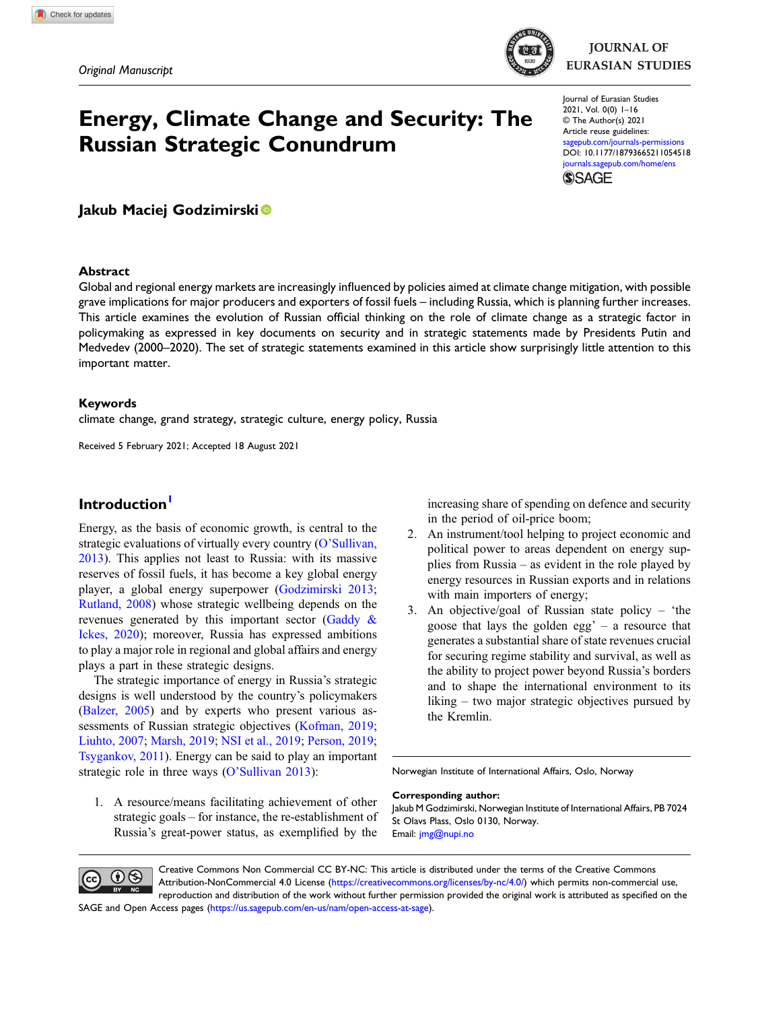

# Energy, Climate Change and Security: The Russian Strategic Conundrum

Journal of Eurasian Studies 2021, Vol. 0(0) 1–16 © The Author(s) 2021 Article reuse guidelines: [sagepub.com/journals-permissions](https://uk.sagepub.com/en-gb/journals-permissions) DOI: [10.1177/18793665211054518](https://doi.org/10.1177/18793665211054518) [journals.sagepub.com/home/ens](https://journals.sagepub.com/home/ens) **SSAGE** 

Jakub Maciej Godzimirski<sup>®</sup>

#### Abstract

Global and regional energy markets are increasingly influenced by policies aimed at climate change mitigation, with possible grave implications for major producers and exporters of fossil fuels – including Russia, which is planning further increases. This article examines the evolution of Russian official thinking on the role of climate change as a strategic factor in policymaking as expressed in key documents on security and in strategic statements made by Presidents Putin and Medvedev (2000–2020). The set of strategic statements examined in this article show surprisingly little attention to this important matter.

#### Keywords

climate change, grand strategy, strategic culture, energy policy, Russia

Received 5 February 2021; Accepted 18 August 2021

# Introduction<sup>[1](#page-13-0)</sup>

Energy, as the basis of economic growth, is central to the strategic evaluations of virtually every country (O'[Sullivan,](#page-14-0) [2013\)](#page-14-0). This applies not least to Russia: with its massive reserves of fossil fuels, it has become a key global energy player, a global energy superpower [\(Godzimirski 2013;](#page-13-1) [Rutland, 2008](#page-15-0)) whose strategic wellbeing depends on the revenues generated by this important sector ([Gaddy &](#page-13-2) [Ickes, 2020\)](#page-13-2); moreover, Russia has expressed ambitions to play a major role in regional and global affairs and energy plays a part in these strategic designs.

The strategic importance of energy in Russia's strategic designs is well understood by the country's policymakers [\(Balzer, 2005\)](#page-13-3) and by experts who present various as-sessments of Russian strategic objectives [\(Kofman, 2019;](#page-14-1) [Liuhto, 2007](#page-14-2); [Marsh, 2019;](#page-14-3) [NSI et al., 2019;](#page-13-4) [Person, 2019;](#page-14-4) [Tsygankov, 2011](#page-15-1)). Energy can be said to play an important strategic role in three ways (O'[Sullivan 2013\)](#page-14-0):

increasing share of spending on defence and security in the period of oil-price boom;

- 2. An instrument/tool helping to project economic and political power to areas dependent on energy supplies from Russia – as evident in the role played by energy resources in Russian exports and in relations with main importers of energy;
- 3. An objective/goal of Russian state policy 'the goose that lays the golden egg'  $-$  a resource that generates a substantial share of state revenues crucial for securing regime stability and survival, as well as the ability to project power beyond Russia's borders and to shape the international environment to its liking – two major strategic objectives pursued by the Kremlin.

Norwegian Institute of International Affairs, Oslo, Norway

1. A resource/means facilitating achievement of other strategic goals – for instance, the re-establishment of Russia's great-power status, as exemplified by the

#### Corresponding author:

Jakub M Godzimirski, Norwegian Institute of International Affairs, PB 7024 St Olavs Plass, Oslo 0130, Norway. Email: [jmg@nupi.no](mailto:jmg@nupi.no)



Creative Commons Non Commercial CC BY-NC: This article is distributed under the terms of the Creative Commons Attribution-NonCommercial 4.0 License ([https://creativecommons.org/licenses/by-nc/4.0/\)](https://creativecommons.org/licenses/by-nc/4.0/) which permits non-commercial use, reproduction and distribution of the work without further permission provided the original work is attributed as specified on the SAGE and Open Access pages [\(https://us.sagepub.com/en-us/nam/open-access-at-sage\)](https://us.sagepub.com/en-us/nam/open-access-at-sage).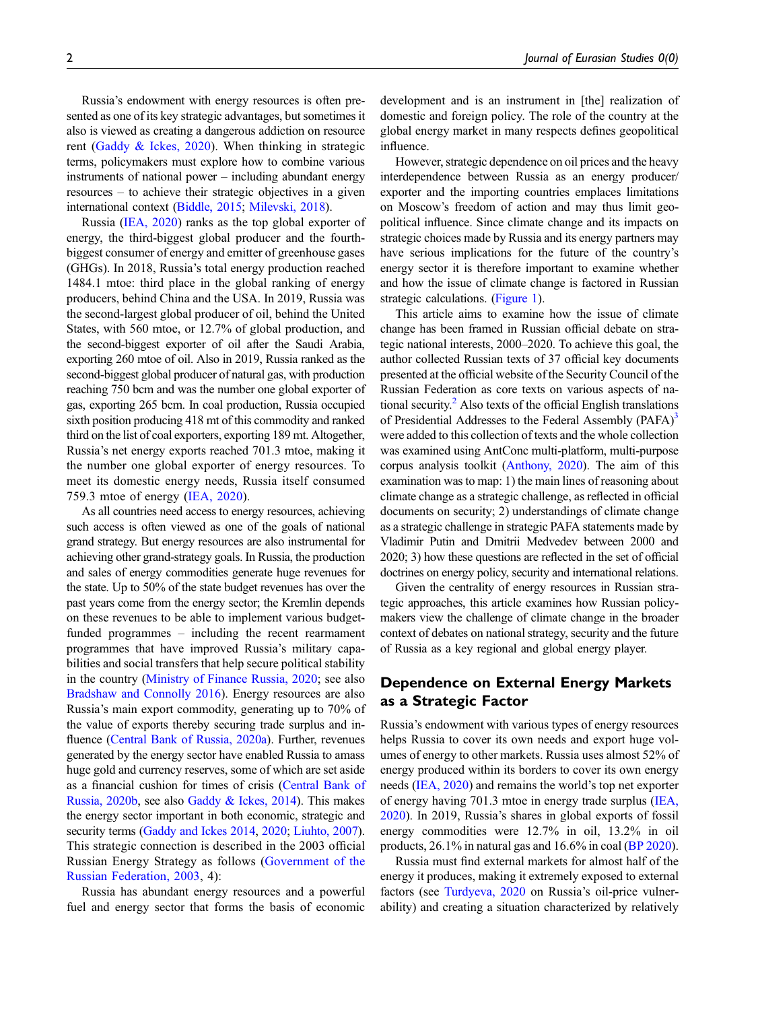Russia's endowment with energy resources is often presented as one of its key strategic advantages, but sometimes it also is viewed as creating a dangerous addiction on resource rent (Gaddy  $\&$  Ickes, 2020). When thinking in strategic terms, policymakers must explore how to combine various instruments of national power – including abundant energy resources – to achieve their strategic objectives in a given international context [\(Biddle, 2015](#page-13-5); [Milevski, 2018\)](#page-14-5).

Russia [\(IEA, 2020\)](#page-14-6) ranks as the top global exporter of energy, the third-biggest global producer and the fourthbiggest consumer of energy and emitter of greenhouse gases (GHGs). In 2018, Russia's total energy production reached 1484.1 mtoe: third place in the global ranking of energy producers, behind China and the USA. In 2019, Russia was the second-largest global producer of oil, behind the United States, with 560 mtoe, or 12.7% of global production, and the second-biggest exporter of oil after the Saudi Arabia, exporting 260 mtoe of oil. Also in 2019, Russia ranked as the second-biggest global producer of natural gas, with production reaching 750 bcm and was the number one global exporter of gas, exporting 265 bcm. In coal production, Russia occupied sixth position producing 418 mt of this commodity and ranked third on the list of coal exporters, exporting 189 mt. Altogether, Russia's net energy exports reached 701.3 mtoe, making it the number one global exporter of energy resources. To meet its domestic energy needs, Russia itself consumed 759.3 mtoe of energy ([IEA, 2020\)](#page-14-6).

As all countries need access to energy resources, achieving such access is often viewed as one of the goals of national grand strategy. But energy resources are also instrumental for achieving other grand-strategy goals. In Russia, the production and sales of energy commodities generate huge revenues for the state. Up to 50% of the state budget revenues has over the past years come from the energy sector; the Kremlin depends on these revenues to be able to implement various budgetfunded programmes – including the recent rearmament programmes that have improved Russia's military capabilities and social transfers that help secure political stability in the country ([Ministry of Finance Russia, 2020;](#page-14-7) see also [Bradshaw and Connolly 2016\)](#page-13-6). Energy resources are also Russia's main export commodity, generating up to 70% of the value of exports thereby securing trade surplus and influence ([Central Bank of Russia, 2020a\)](#page-13-7). Further, revenues generated by the energy sector have enabled Russia to amass huge gold and currency reserves, some of which are set aside as a financial cushion for times of crisis [\(Central Bank of](#page-13-8) [Russia, 2020b](#page-13-8), see also [Gaddy & Ickes, 2014](#page-13-9)). This makes the energy sector important in both economic, strategic and security terms ([Gaddy and Ickes 2014,](#page-13-9) [2020](#page-13-2); [Liuhto, 2007](#page-14-2)). This strategic connection is described in the 2003 official Russian Energy Strategy as follows [\(Government of the](#page-13-10) [Russian Federation, 2003](#page-13-10), 4):

Russia has abundant energy resources and a powerful fuel and energy sector that forms the basis of economic

development and is an instrument in [the] realization of domestic and foreign policy. The role of the country at the global energy market in many respects defines geopolitical influence.

However, strategic dependence on oil prices and the heavy interdependence between Russia as an energy producer/ exporter and the importing countries emplaces limitations on Moscow's freedom of action and may thus limit geopolitical influence. Since climate change and its impacts on strategic choices made by Russia and its energy partners may have serious implications for the future of the country's energy sector it is therefore important to examine whether and how the issue of climate change is factored in Russian strategic calculations. [\(Figure 1\)](#page-2-0).

This article aims to examine how the issue of climate change has been framed in Russian official debate on strategic national interests, 2000–2020. To achieve this goal, the author collected Russian texts of 37 official key documents presented at the official website of the Security Council of the Russian Federation as core texts on various aspects of national security.<sup>2</sup> Also texts of the official English translations of Presidential Addresses to the Federal Assembly (PAFA)<sup>[3](#page-13-12)</sup> were added to this collection of texts and the whole collection was examined using AntConc multi-platform, multi-purpose corpus analysis toolkit ([Anthony, 2020\)](#page-13-13). The aim of this examination was to map: 1) the main lines of reasoning about climate change as a strategic challenge, as reflected in official documents on security; 2) understandings of climate change as a strategic challenge in strategic PAFA statements made by Vladimir Putin and Dmitrii Medvedev between 2000 and 2020; 3) how these questions are reflected in the set of official doctrines on energy policy, security and international relations.

Given the centrality of energy resources in Russian strategic approaches, this article examines how Russian policymakers view the challenge of climate change in the broader context of debates on national strategy, security and the future of Russia as a key regional and global energy player.

# Dependence on External Energy Markets as a Strategic Factor

Russia's endowment with various types of energy resources helps Russia to cover its own needs and export huge volumes of energy to other markets. Russia uses almost 52% of energy produced within its borders to cover its own energy needs [\(IEA, 2020](#page-14-6)) and remains the world's top net exporter of energy having 701.3 mtoe in energy trade surplus ([IEA,](#page-14-6) [2020\)](#page-14-6). In 2019, Russia's shares in global exports of fossil energy commodities were 12.7% in oil, 13.2% in oil products, 26.1% in natural gas and 16.6% in coal ([BP 2020\)](#page-13-14).

Russia must find external markets for almost half of the energy it produces, making it extremely exposed to external factors (see [Turdyeva, 2020](#page-15-2) on Russia's oil-price vulnerability) and creating a situation characterized by relatively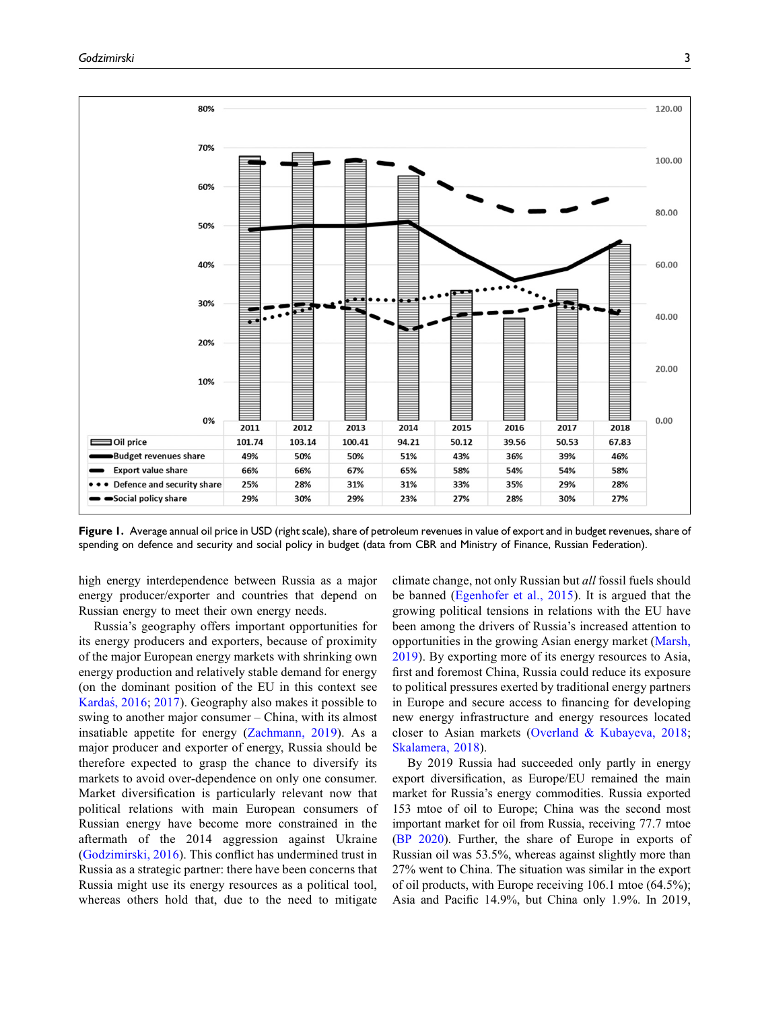

<span id="page-2-0"></span>Figure 1. Average annual oil price in USD (right scale), share of petroleum revenues in value of export and in budget revenues, share of spending on defence and security and social policy in budget (data from CBR and Ministry of Finance, Russian Federation).

high energy interdependence between Russia as a major energy producer/exporter and countries that depend on Russian energy to meet their own energy needs.

Russia's geography offers important opportunities for its energy producers and exporters, because of proximity of the major European energy markets with shrinking own energy production and relatively stable demand for energy (on the dominant position of the EU in this context see [Kardas, 2016](#page-14-8); [2017](#page-14-9)). Geography also makes it possible to swing to another major consumer – China, with its almost insatiable appetite for energy ([Zachmann, 2019](#page-15-3)). As a major producer and exporter of energy, Russia should be therefore expected to grasp the chance to diversify its markets to avoid over-dependence on only one consumer. Market diversification is particularly relevant now that political relations with main European consumers of Russian energy have become more constrained in the aftermath of the 2014 aggression against Ukraine [\(Godzimirski, 2016\)](#page-13-15). This conflict has undermined trust in Russia as a strategic partner: there have been concerns that Russia might use its energy resources as a political tool, whereas others hold that, due to the need to mitigate climate change, not only Russian but all fossil fuels should be banned ([Egenhofer et al., 2015\)](#page-13-16). It is argued that the growing political tensions in relations with the EU have been among the drivers of Russia's increased attention to opportunities in the growing Asian energy market ([Marsh,](#page-14-3) [2019\)](#page-14-3). By exporting more of its energy resources to Asia, first and foremost China, Russia could reduce its exposure to political pressures exerted by traditional energy partners in Europe and secure access to financing for developing new energy infrastructure and energy resources located closer to Asian markets [\(Overland & Kubayeva, 2018](#page-14-10); [Skalamera, 2018](#page-15-4)).

By 2019 Russia had succeeded only partly in energy export diversification, as Europe/EU remained the main market for Russia's energy commodities. Russia exported 153 mtoe of oil to Europe; China was the second most important market for oil from Russia, receiving 77.7 mtoe ([BP 2020](#page-13-14)). Further, the share of Europe in exports of Russian oil was 53.5%, whereas against slightly more than 27% went to China. The situation was similar in the export of oil products, with Europe receiving 106.1 mtoe (64.5%); Asia and Pacific 14.9%, but China only 1.9%. In 2019,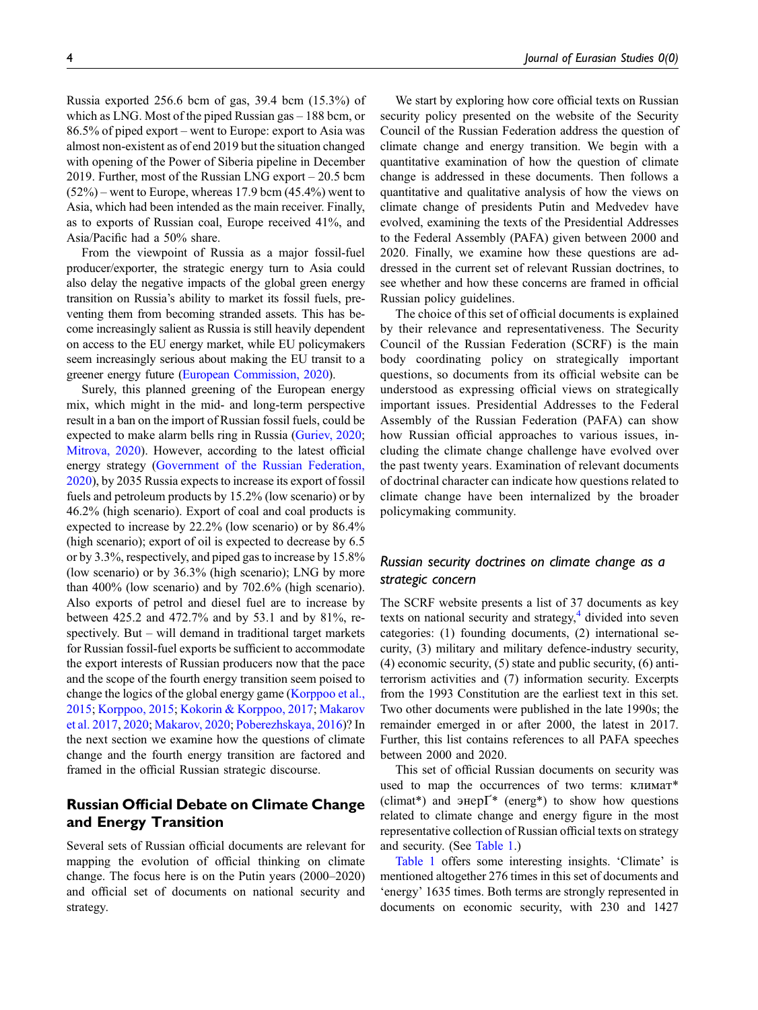Russia exported 256.6 bcm of gas, 39.4 bcm (15.3%) of which as LNG. Most of the piped Russian gas – 188 bcm, or 86.5% of piped export – went to Europe: export to Asia was almost non-existent as of end 2019 but the situation changed with opening of the Power of Siberia pipeline in December 2019. Further, most of the Russian LNG export – 20.5 bcm  $(52\%)$  – went to Europe, whereas 17.9 bcm  $(45.4\%)$  went to Asia, which had been intended as the main receiver. Finally, as to exports of Russian coal, Europe received 41%, and Asia/Pacific had a 50% share.

From the viewpoint of Russia as a major fossil-fuel producer/exporter, the strategic energy turn to Asia could also delay the negative impacts of the global green energy transition on Russia's ability to market its fossil fuels, preventing them from becoming stranded assets. This has become increasingly salient as Russia is still heavily dependent on access to the EU energy market, while EU policymakers seem increasingly serious about making the EU transit to a greener energy future [\(European Commission, 2020](#page-13-17)).

Surely, this planned greening of the European energy mix, which might in the mid- and long-term perspective result in a ban on the import of Russian fossil fuels, could be expected to make alarm bells ring in Russia [\(Guriev, 2020](#page-14-11); [Mitrova, 2020\)](#page-14-12). However, according to the latest official energy strategy ([Government of the Russian Federation,](#page-13-18) [2020](#page-13-18)), by 2035 Russia expects to increase its export of fossil fuels and petroleum products by 15.2% (low scenario) or by 46.2% (high scenario). Export of coal and coal products is expected to increase by 22.2% (low scenario) or by 86.4% (high scenario); export of oil is expected to decrease by 6.5 or by 3.3%, respectively, and piped gas to increase by 15.8% (low scenario) or by 36.3% (high scenario); LNG by more than 400% (low scenario) and by 702.6% (high scenario). Also exports of petrol and diesel fuel are to increase by between 425.2 and 472.7% and by 53.1 and by 81%, respectively. But – will demand in traditional target markets for Russian fossil-fuel exports be sufficient to accommodate the export interests of Russian producers now that the pace and the scope of the fourth energy transition seem poised to change the logics of the global energy game [\(Korppoo et al.,](#page-14-13) [2015](#page-14-13); [Korppoo, 2015;](#page-14-14) [Kokorin & Korppoo, 2017](#page-14-15); [Makarov](#page-14-16) [et al. 2017,](#page-14-16) [2020;](#page-14-17) [Makarov, 2020](#page-14-18); [Poberezhskaya, 2016](#page-14-19))? In the next section we examine how the questions of climate change and the fourth energy transition are factored and framed in the official Russian strategic discourse.

# Russian Official Debate on Climate Change and Energy Transition

Several sets of Russian official documents are relevant for mapping the evolution of official thinking on climate change. The focus here is on the Putin years (2000–2020) and official set of documents on national security and strategy.

We start by exploring how core official texts on Russian security policy presented on the website of the Security Council of the Russian Federation address the question of climate change and energy transition. We begin with a quantitative examination of how the question of climate change is addressed in these documents. Then follows a quantitative and qualitative analysis of how the views on climate change of presidents Putin and Medvedev have evolved, examining the texts of the Presidential Addresses to the Federal Assembly (PAFA) given between 2000 and 2020. Finally, we examine how these questions are addressed in the current set of relevant Russian doctrines, to see whether and how these concerns are framed in official Russian policy guidelines.

The choice of this set of official documents is explained by their relevance and representativeness. The Security Council of the Russian Federation (SCRF) is the main body coordinating policy on strategically important questions, so documents from its official website can be understood as expressing official views on strategically important issues. Presidential Addresses to the Federal Assembly of the Russian Federation (PAFA) can show how Russian official approaches to various issues, including the climate change challenge have evolved over the past twenty years. Examination of relevant documents of doctrinal character can indicate how questions related to climate change have been internalized by the broader policymaking community.

### Russian security doctrines on climate change as a strategic concern

The SCRF website presents a list of 37 documents as key texts on national security and strategy, $4$  divided into seven categories: (1) founding documents, (2) international security, (3) military and military defence-industry security, (4) economic security, (5) state and public security, (6) antiterrorism activities and (7) information security. Excerpts from the 1993 Constitution are the earliest text in this set. Two other documents were published in the late 1990s; the remainder emerged in or after 2000, the latest in 2017. Further, this list contains references to all PAFA speeches between 2000 and 2020.

This set of official Russian documents on security was used to map the occurrences of two terms: KJIHMAT\* (climat\*) and  $\varphi$ Hep $\Gamma^*$  (energ\*) to show how questions related to climate change and energy figure in the most representative collection of Russian official texts on strategy and security. (See [Table 1.](#page-4-0))

[Table 1](#page-4-0) offers some interesting insights. 'Climate' is mentioned altogether 276 times in this set of documents and 'energy' 1635 times. Both terms are strongly represented in documents on economic security, with 230 and 1427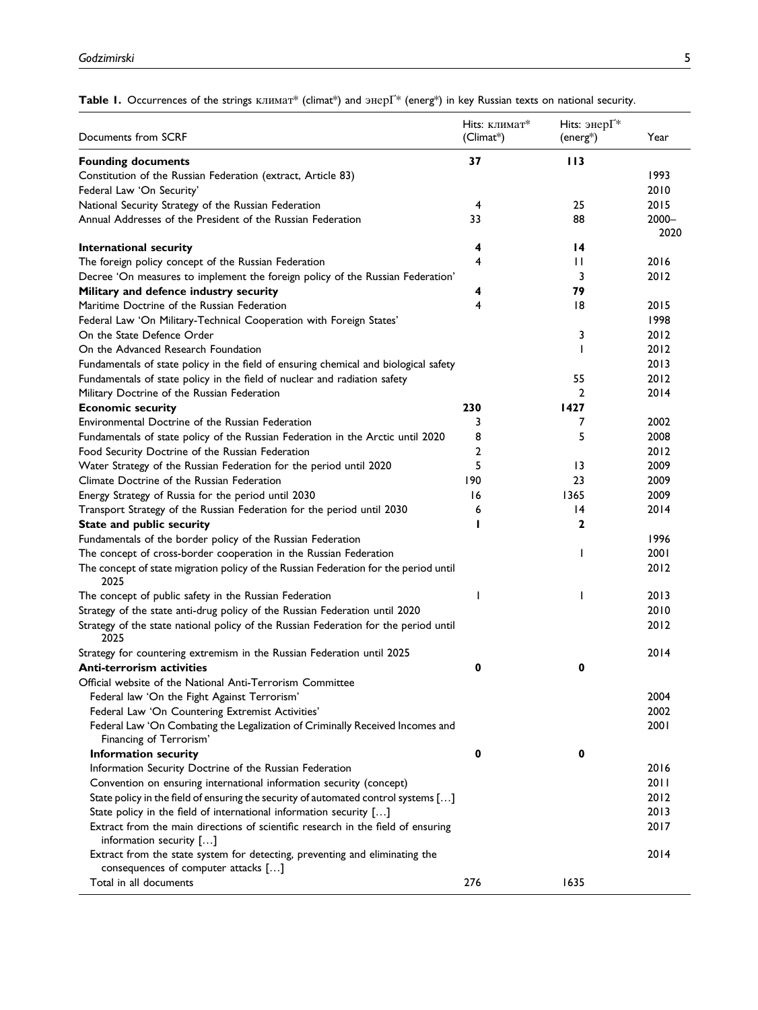<span id="page-4-0"></span>Table 1. Occurrences of the strings  $KJIMMAT^*$  (climat\*) and  $\text{3Hepi}^*$  (energ\*) in key Russian texts on national security.

| Documents from SCRF                                                                          | <b>Hits:</b> климат*<br>$(Climat^*)$ | Hits: энер $\Gamma^*$<br>(energ*) | Year     |
|----------------------------------------------------------------------------------------------|--------------------------------------|-----------------------------------|----------|
| <b>Founding documents</b>                                                                    | 37                                   | 113                               |          |
| Constitution of the Russian Federation (extract, Article 83)                                 |                                      |                                   | 1993     |
| Federal Law 'On Security'                                                                    |                                      |                                   | 2010     |
| National Security Strategy of the Russian Federation                                         | 4                                    | 25                                | 2015     |
| Annual Addresses of the President of the Russian Federation                                  | 33                                   | 88                                | $2000 -$ |
|                                                                                              |                                      |                                   | 2020     |
| International security                                                                       | 4                                    | $\overline{14}$                   |          |
| The foreign policy concept of the Russian Federation                                         | 4                                    | $\mathbf{H}$                      | 2016     |
| Decree 'On measures to implement the foreign policy of the Russian Federation'               |                                      | 3                                 | 2012     |
| Military and defence industry security                                                       | 4                                    | 79                                |          |
| Maritime Doctrine of the Russian Federation                                                  | 4                                    | 18                                | 2015     |
| Federal Law 'On Military-Technical Cooperation with Foreign States'                          |                                      |                                   | 1998     |
| On the State Defence Order                                                                   |                                      | 3                                 | 2012     |
| On the Advanced Research Foundation                                                          |                                      |                                   | 2012     |
| Fundamentals of state policy in the field of ensuring chemical and biological safety         |                                      |                                   | 2013     |
| Fundamentals of state policy in the field of nuclear and radiation safety                    |                                      | 55                                | 2012     |
| Military Doctrine of the Russian Federation                                                  |                                      | 2                                 | 2014     |
| <b>Economic security</b>                                                                     | 230                                  | 1427                              |          |
| Environmental Doctrine of the Russian Federation                                             | 3                                    | 7                                 | 2002     |
| Fundamentals of state policy of the Russian Federation in the Arctic until 2020              | 8                                    | 5                                 | 2008     |
| Food Security Doctrine of the Russian Federation                                             | 2                                    |                                   | 2012     |
| Water Strategy of the Russian Federation for the period until 2020                           | 5                                    | $\overline{13}$                   | 2009     |
| Climate Doctrine of the Russian Federation                                                   | 190                                  | 23                                | 2009     |
| Energy Strategy of Russia for the period until 2030                                          | 16                                   | 1365                              | 2009     |
| Transport Strategy of the Russian Federation for the period until 2030                       | 6                                    | 14                                | 2014     |
|                                                                                              |                                      | $\mathbf{2}$                      |          |
| State and public security                                                                    |                                      |                                   |          |
| Fundamentals of the border policy of the Russian Federation                                  |                                      |                                   | 1996     |
| The concept of cross-border cooperation in the Russian Federation                            |                                      | $\mathbf{I}$                      | 2001     |
| The concept of state migration policy of the Russian Federation for the period until<br>2025 |                                      |                                   | 2012     |
| The concept of public safety in the Russian Federation                                       | ı                                    | ı                                 | 2013     |
| Strategy of the state anti-drug policy of the Russian Federation until 2020                  |                                      |                                   | 2010     |
| Strategy of the state national policy of the Russian Federation for the period until<br>2025 |                                      |                                   | 2012     |
| Strategy for countering extremism in the Russian Federation until 2025                       |                                      |                                   | 2014     |
| Anti-terrorism activities                                                                    | 0                                    | 0                                 |          |
| Official website of the National Anti-Terrorism Committee                                    |                                      |                                   |          |
| Federal law 'On the Fight Against Terrorism'                                                 |                                      |                                   | 2004     |
| Federal Law 'On Countering Extremist Activities'                                             |                                      |                                   | 2002     |
| Federal Law 'On Combating the Legalization of Criminally Received Incomes and                |                                      |                                   | 2001     |
| Financing of Terrorism'                                                                      |                                      |                                   |          |
| Information security                                                                         | 0                                    | 0                                 |          |
| Information Security Doctrine of the Russian Federation                                      |                                      |                                   | 2016     |
| Convention on ensuring international information security (concept)                          |                                      |                                   | 2011     |
| State policy in the field of ensuring the security of automated control systems []           |                                      |                                   | 2012     |
| State policy in the field of international information security []                           |                                      |                                   | 2013     |
| Extract from the main directions of scientific research in the field of ensuring             |                                      |                                   | 2017     |
| information security $[]$                                                                    |                                      |                                   |          |
| Extract from the state system for detecting, preventing and eliminating the                  |                                      |                                   | 2014     |
| consequences of computer attacks []                                                          |                                      |                                   |          |
| Total in all documents                                                                       | 276                                  | 1635                              |          |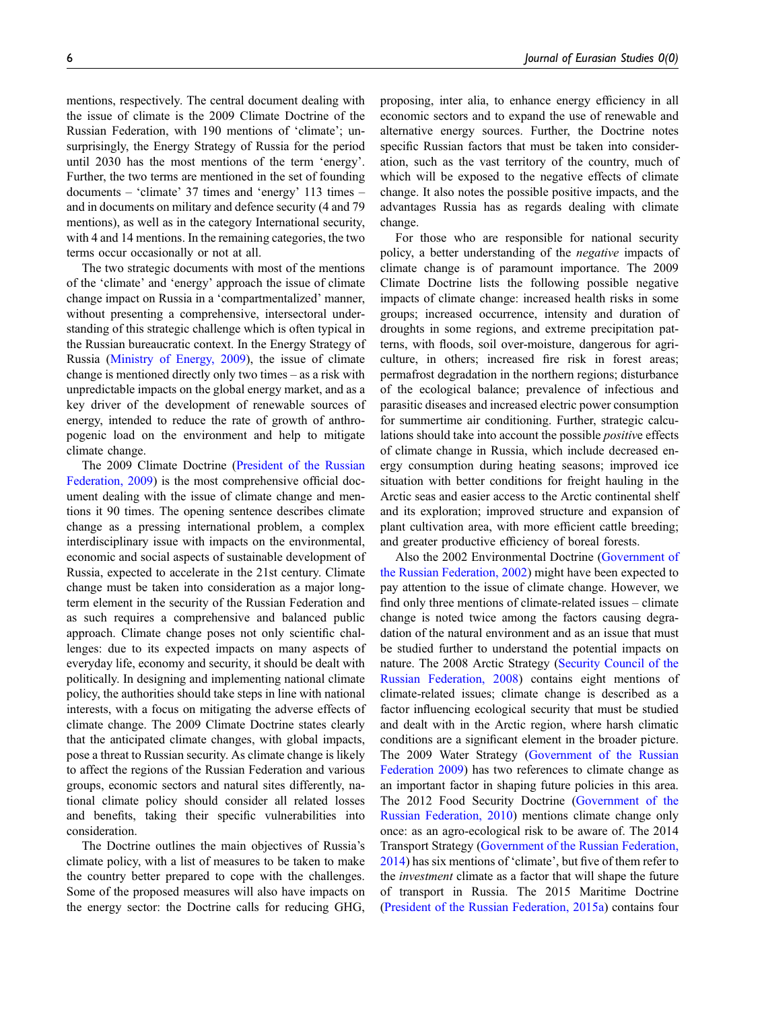mentions, respectively. The central document dealing with the issue of climate is the 2009 Climate Doctrine of the Russian Federation, with 190 mentions of 'climate'; unsurprisingly, the Energy Strategy of Russia for the period until 2030 has the most mentions of the term 'energy'. Further, the two terms are mentioned in the set of founding documents – 'climate' 37 times and 'energy' 113 times – and in documents on military and defence security (4 and 79 mentions), as well as in the category International security, with 4 and 14 mentions. In the remaining categories, the two terms occur occasionally or not at all.

The two strategic documents with most of the mentions of the 'climate' and 'energy' approach the issue of climate change impact on Russia in a 'compartmentalized' manner, without presenting a comprehensive, intersectoral understanding of this strategic challenge which is often typical in the Russian bureaucratic context. In the Energy Strategy of Russia ([Ministry of Energy, 2009](#page-14-20)), the issue of climate change is mentioned directly only two times – as a risk with unpredictable impacts on the global energy market, and as a key driver of the development of renewable sources of energy, intended to reduce the rate of growth of anthropogenic load on the environment and help to mitigate climate change.

The 2009 Climate Doctrine ([President of the Russian](#page-15-5) [Federation, 2009](#page-15-5)) is the most comprehensive official document dealing with the issue of climate change and mentions it 90 times. The opening sentence describes climate change as a pressing international problem, a complex interdisciplinary issue with impacts on the environmental, economic and social aspects of sustainable development of Russia, expected to accelerate in the 21st century. Climate change must be taken into consideration as a major longterm element in the security of the Russian Federation and as such requires a comprehensive and balanced public approach. Climate change poses not only scientific challenges: due to its expected impacts on many aspects of everyday life, economy and security, it should be dealt with politically. In designing and implementing national climate policy, the authorities should take steps in line with national interests, with a focus on mitigating the adverse effects of climate change. The 2009 Climate Doctrine states clearly that the anticipated climate changes, with global impacts, pose a threat to Russian security. As climate change is likely to affect the regions of the Russian Federation and various groups, economic sectors and natural sites differently, national climate policy should consider all related losses and benefits, taking their specific vulnerabilities into consideration.

The Doctrine outlines the main objectives of Russia's climate policy, with a list of measures to be taken to make the country better prepared to cope with the challenges. Some of the proposed measures will also have impacts on the energy sector: the Doctrine calls for reducing GHG, proposing, inter alia, to enhance energy efficiency in all economic sectors and to expand the use of renewable and alternative energy sources. Further, the Doctrine notes specific Russian factors that must be taken into consideration, such as the vast territory of the country, much of which will be exposed to the negative effects of climate change. It also notes the possible positive impacts, and the advantages Russia has as regards dealing with climate change.

For those who are responsible for national security policy, a better understanding of the negative impacts of climate change is of paramount importance. The 2009 Climate Doctrine lists the following possible negative impacts of climate change: increased health risks in some groups; increased occurrence, intensity and duration of droughts in some regions, and extreme precipitation patterns, with floods, soil over-moisture, dangerous for agriculture, in others; increased fire risk in forest areas; permafrost degradation in the northern regions; disturbance of the ecological balance; prevalence of infectious and parasitic diseases and increased electric power consumption for summertime air conditioning. Further, strategic calculations should take into account the possible *positive* effects of climate change in Russia, which include decreased energy consumption during heating seasons; improved ice situation with better conditions for freight hauling in the Arctic seas and easier access to the Arctic continental shelf and its exploration; improved structure and expansion of plant cultivation area, with more efficient cattle breeding; and greater productive efficiency of boreal forests.

Also the 2002 Environmental Doctrine ([Government of](#page-13-20) [the Russian Federation, 2002](#page-13-20)) might have been expected to pay attention to the issue of climate change. However, we find only three mentions of climate-related issues – climate change is noted twice among the factors causing degradation of the natural environment and as an issue that must be studied further to understand the potential impacts on nature. The 2008 Arctic Strategy ([Security Council of the](#page-15-6) [Russian Federation, 2008\)](#page-15-6) contains eight mentions of climate-related issues; climate change is described as a factor influencing ecological security that must be studied and dealt with in the Arctic region, where harsh climatic conditions are a significant element in the broader picture. The 2009 Water Strategy ([Government of the Russian](#page-13-21) [Federation 2009\)](#page-13-21) has two references to climate change as an important factor in shaping future policies in this area. The 2012 Food Security Doctrine ([Government of the](#page-13-22) [Russian Federation, 2010](#page-13-22)) mentions climate change only once: as an agro-ecological risk to be aware of. The 2014 Transport Strategy ([Government of the Russian Federation,](#page-13-23) [2014\)](#page-13-23) has six mentions of 'climate', but five of them refer to the investment climate as a factor that will shape the future of transport in Russia. The 2015 Maritime Doctrine [\(President of the Russian Federation, 2015a\)](#page-15-7) contains four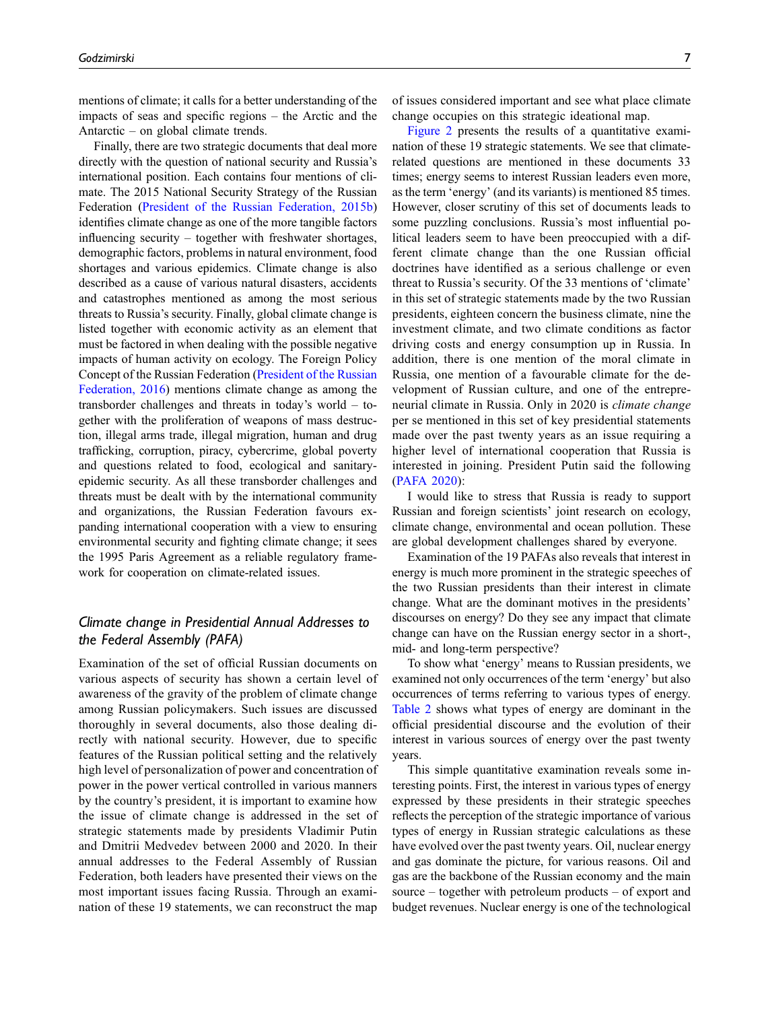mentions of climate; it calls for a better understanding of the impacts of seas and specific regions – the Arctic and the Antarctic – on global climate trends.

Finally, there are two strategic documents that deal more directly with the question of national security and Russia's international position. Each contains four mentions of climate. The 2015 National Security Strategy of the Russian Federation ([President of the Russian Federation, 2015b](#page-15-8)) identifies climate change as one of the more tangible factors influencing security – together with freshwater shortages, demographic factors, problems in natural environment, food shortages and various epidemics. Climate change is also described as a cause of various natural disasters, accidents and catastrophes mentioned as among the most serious threats to Russia's security. Finally, global climate change is listed together with economic activity as an element that must be factored in when dealing with the possible negative impacts of human activity on ecology. The Foreign Policy Concept of the Russian Federation ([President of the Russian](#page-15-9) [Federation, 2016](#page-15-9)) mentions climate change as among the transborder challenges and threats in today's world – together with the proliferation of weapons of mass destruction, illegal arms trade, illegal migration, human and drug trafficking, corruption, piracy, cybercrime, global poverty and questions related to food, ecological and sanitaryepidemic security. As all these transborder challenges and threats must be dealt with by the international community and organizations, the Russian Federation favours expanding international cooperation with a view to ensuring environmental security and fighting climate change; it sees the 1995 Paris Agreement as a reliable regulatory framework for cooperation on climate-related issues.

### Climate change in Presidential Annual Addresses to the Federal Assembly (PAFA)

Examination of the set of official Russian documents on various aspects of security has shown a certain level of awareness of the gravity of the problem of climate change among Russian policymakers. Such issues are discussed thoroughly in several documents, also those dealing directly with national security. However, due to specific features of the Russian political setting and the relatively high level of personalization of power and concentration of power in the power vertical controlled in various manners by the country's president, it is important to examine how the issue of climate change is addressed in the set of strategic statements made by presidents Vladimir Putin and Dmitrii Medvedev between 2000 and 2020. In their annual addresses to the Federal Assembly of Russian Federation, both leaders have presented their views on the most important issues facing Russia. Through an examination of these 19 statements, we can reconstruct the map of issues considered important and see what place climate change occupies on this strategic ideational map.

[Figure 2](#page-7-0) presents the results of a quantitative examination of these 19 strategic statements. We see that climaterelated questions are mentioned in these documents 33 times; energy seems to interest Russian leaders even more, as the term 'energy' (and its variants) is mentioned 85 times. However, closer scrutiny of this set of documents leads to some puzzling conclusions. Russia's most influential political leaders seem to have been preoccupied with a different climate change than the one Russian official doctrines have identified as a serious challenge or even threat to Russia's security. Of the 33 mentions of 'climate' in this set of strategic statements made by the two Russian presidents, eighteen concern the business climate, nine the investment climate, and two climate conditions as factor driving costs and energy consumption up in Russia. In addition, there is one mention of the moral climate in Russia, one mention of a favourable climate for the development of Russian culture, and one of the entrepreneurial climate in Russia. Only in 2020 is climate change per se mentioned in this set of key presidential statements made over the past twenty years as an issue requiring a higher level of international cooperation that Russia is interested in joining. President Putin said the following ([PAFA 2020\)](#page-14-21):

I would like to stress that Russia is ready to support Russian and foreign scientists' joint research on ecology, climate change, environmental and ocean pollution. These are global development challenges shared by everyone.

Examination of the 19 PAFAs also reveals that interest in energy is much more prominent in the strategic speeches of the two Russian presidents than their interest in climate change. What are the dominant motives in the presidents' discourses on energy? Do they see any impact that climate change can have on the Russian energy sector in a short-, mid- and long-term perspective?

To show what 'energy' means to Russian presidents, we examined not only occurrences of the term 'energy' but also occurrences of terms referring to various types of energy. [Table 2](#page-8-0) shows what types of energy are dominant in the official presidential discourse and the evolution of their interest in various sources of energy over the past twenty years.

This simple quantitative examination reveals some interesting points. First, the interest in various types of energy expressed by these presidents in their strategic speeches reflects the perception of the strategic importance of various types of energy in Russian strategic calculations as these have evolved over the past twenty years. Oil, nuclear energy and gas dominate the picture, for various reasons. Oil and gas are the backbone of the Russian economy and the main source – together with petroleum products – of export and budget revenues. Nuclear energy is one of the technological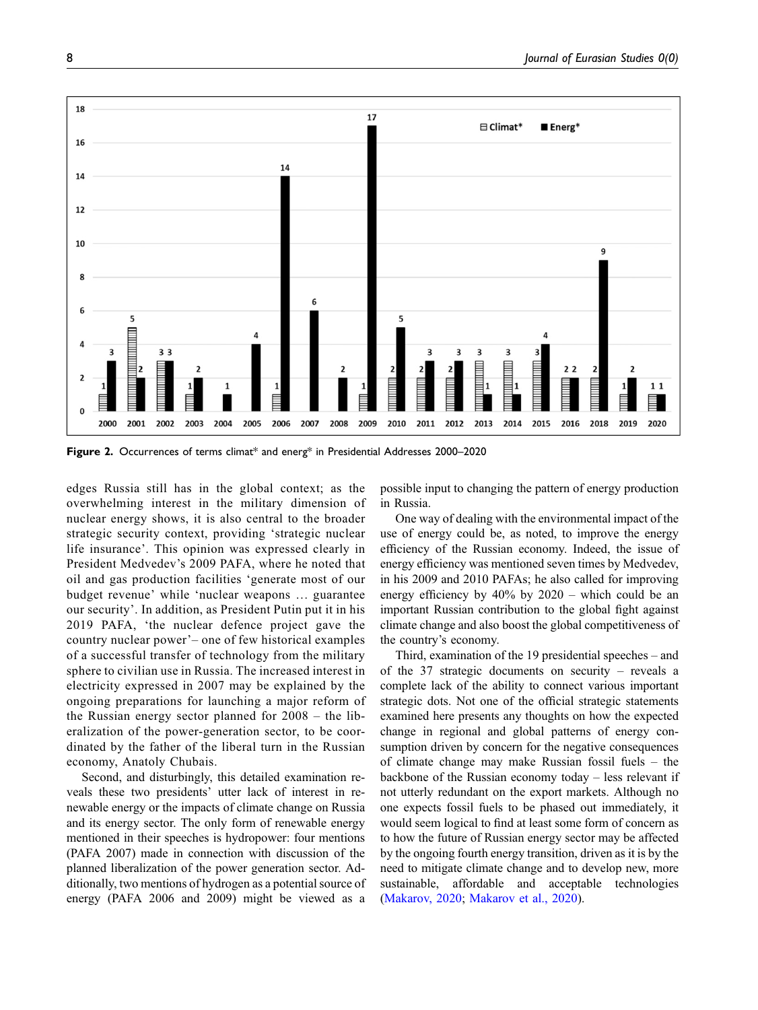

<span id="page-7-0"></span>Figure 2. Occurrences of terms climat\* and energ\* in Presidential Addresses 2000-2020

edges Russia still has in the global context; as the overwhelming interest in the military dimension of nuclear energy shows, it is also central to the broader strategic security context, providing 'strategic nuclear life insurance'. This opinion was expressed clearly in President Medvedev's 2009 PAFA, where he noted that oil and gas production facilities 'generate most of our budget revenue' while 'nuclear weapons … guarantee our security'. In addition, as President Putin put it in his 2019 PAFA, 'the nuclear defence project gave the country nuclear power'– one of few historical examples of a successful transfer of technology from the military sphere to civilian use in Russia. The increased interest in electricity expressed in 2007 may be explained by the ongoing preparations for launching a major reform of the Russian energy sector planned for 2008 – the liberalization of the power-generation sector, to be coordinated by the father of the liberal turn in the Russian economy, Anatoly Chubais.

Second, and disturbingly, this detailed examination reveals these two presidents' utter lack of interest in renewable energy or the impacts of climate change on Russia and its energy sector. The only form of renewable energy mentioned in their speeches is hydropower: four mentions (PAFA 2007) made in connection with discussion of the planned liberalization of the power generation sector. Additionally, two mentions of hydrogen as a potential source of energy (PAFA 2006 and 2009) might be viewed as a possible input to changing the pattern of energy production in Russia.

One way of dealing with the environmental impact of the use of energy could be, as noted, to improve the energy efficiency of the Russian economy. Indeed, the issue of energy efficiency was mentioned seven times by Medvedev, in his 2009 and 2010 PAFAs; he also called for improving energy efficiency by 40% by 2020 – which could be an important Russian contribution to the global fight against climate change and also boost the global competitiveness of the country's economy.

Third, examination of the 19 presidential speeches – and of the 37 strategic documents on security – reveals a complete lack of the ability to connect various important strategic dots. Not one of the official strategic statements examined here presents any thoughts on how the expected change in regional and global patterns of energy consumption driven by concern for the negative consequences of climate change may make Russian fossil fuels – the backbone of the Russian economy today – less relevant if not utterly redundant on the export markets. Although no one expects fossil fuels to be phased out immediately, it would seem logical to find at least some form of concern as to how the future of Russian energy sector may be affected by the ongoing fourth energy transition, driven as it is by the need to mitigate climate change and to develop new, more sustainable, affordable and acceptable technologies [\(Makarov, 2020](#page-14-18); [Makarov et al., 2020\)](#page-14-17).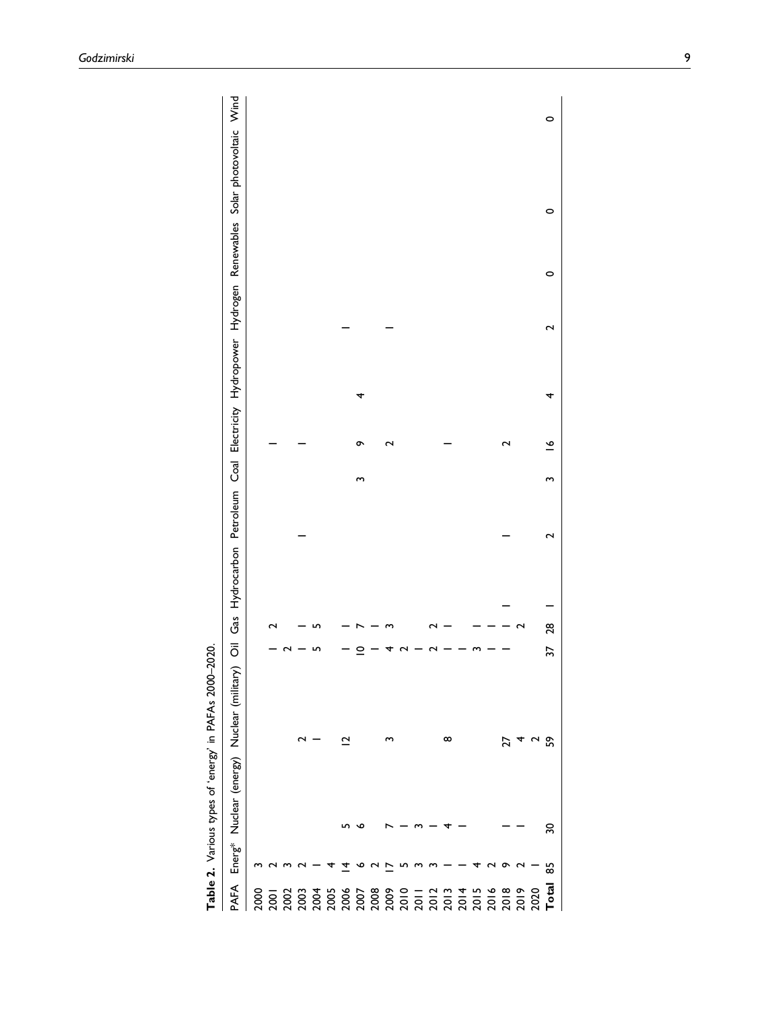| ć<br>î                                                   |
|----------------------------------------------------------|
| ׇ֦֦֦֦֦֦֦֧֡֕֓֝֝֝֝֝֝֝<br>׆<br>֩֓֩֘֩֩֩֩֩֟֩֟                 |
| ≘                                                        |
| ò<br>֚֞֘<br>.<br>ג                                       |
| ï<br>5                                                   |
| ֧֚֚֝<br>֧֦֦֦֦֦֧֧֦֧֚֚֚֚֚֚֚֚֚֚֚֚֚֚֚֚֚֝֝֝֝֬֝֝֝֝֬֝֝֬֝֝֬֝֓֝֬֝ |
|                                                          |
|                                                          |
|                                                          |
|                                                          |

<span id="page-8-0"></span>

|       |    | Table 2. Various types of 'energy' in PAFAs 2000-2020. |                 |    |    |                               |   |   |             |   |   |         |                                                                         |   |
|-------|----|--------------------------------------------------------|-----------------|----|----|-------------------------------|---|---|-------------|---|---|---------|-------------------------------------------------------------------------|---|
| PAFA  |    | Energ* Nuclear (energy) Nuclear (military)             |                 |    |    | Oil Gas Hydrocarbon Petroleum |   |   |             |   |   |         | Coal Electricity Hydropower Hydrogen Renewables Solar photovoltaic Wind |   |
|       |    |                                                        |                 |    |    |                               |   |   |             |   |   |         |                                                                         |   |
|       |    |                                                        |                 |    |    |                               |   |   |             |   |   |         |                                                                         |   |
|       |    |                                                        |                 |    |    |                               |   |   |             |   |   |         |                                                                         |   |
|       |    |                                                        | 2               |    |    |                               |   |   |             |   |   |         |                                                                         |   |
|       |    |                                                        |                 |    |    |                               |   |   |             |   |   |         |                                                                         |   |
|       |    |                                                        |                 |    |    |                               |   |   |             |   |   |         |                                                                         |   |
|       |    |                                                        | $\mathbf{\sim}$ |    |    |                               |   |   |             |   |   |         |                                                                         |   |
|       |    | Ω                                                      |                 |    |    |                               |   | S | ᡡ           | 4 |   |         |                                                                         |   |
|       |    |                                                        |                 |    |    |                               |   |   |             |   |   |         |                                                                         |   |
|       |    |                                                        | ო               |    |    |                               |   |   | 2           |   |   |         |                                                                         |   |
|       |    |                                                        |                 |    |    |                               |   |   |             |   |   |         |                                                                         |   |
|       |    |                                                        |                 |    |    |                               |   |   |             |   |   |         |                                                                         |   |
|       |    |                                                        |                 |    |    |                               |   |   |             |   |   |         |                                                                         |   |
|       |    |                                                        | $^{\circ}$      |    |    |                               |   |   |             |   |   |         |                                                                         |   |
|       |    |                                                        |                 |    |    |                               |   |   |             |   |   |         |                                                                         |   |
|       |    |                                                        |                 |    |    |                               |   |   |             |   |   |         |                                                                         |   |
|       |    |                                                        |                 |    |    |                               |   |   |             |   |   |         |                                                                         |   |
|       |    |                                                        | 27              |    |    |                               |   |   | 2           |   |   |         |                                                                         |   |
|       |    |                                                        |                 |    |    |                               |   |   |             |   |   |         |                                                                         |   |
|       |    |                                                        | $\sim$          |    |    |                               |   |   |             |   |   |         |                                                                         |   |
| Total | 55 | 30                                                     | S9              | 37 | 28 |                               | 2 | S | $\tilde{=}$ | 4 | 2 | $\circ$ | 0                                                                       | 0 |
|       |    |                                                        |                 |    |    |                               |   |   |             |   |   |         |                                                                         |   |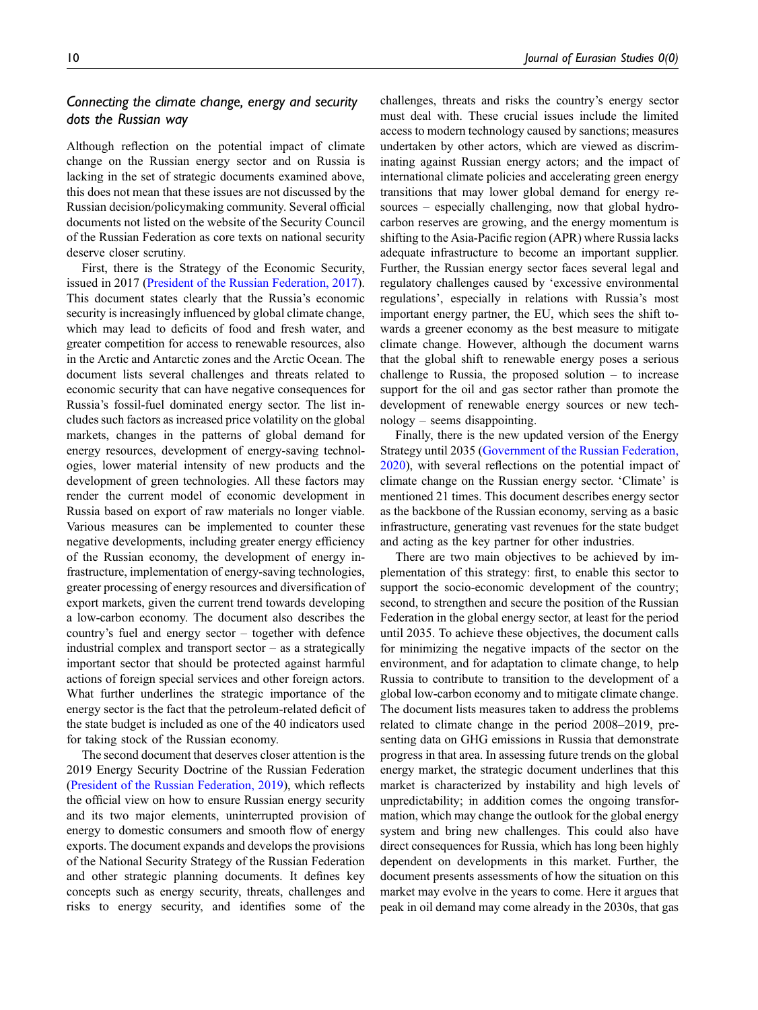# Connecting the climate change, energy and security dots the Russian way

Although reflection on the potential impact of climate change on the Russian energy sector and on Russia is lacking in the set of strategic documents examined above, this does not mean that these issues are not discussed by the Russian decision/policymaking community. Several official documents not listed on the website of the Security Council of the Russian Federation as core texts on national security deserve closer scrutiny.

First, there is the Strategy of the Economic Security, issued in 2017 ([President of the Russian Federation, 2017](#page-15-10)). This document states clearly that the Russia's economic security is increasingly influenced by global climate change, which may lead to deficits of food and fresh water, and greater competition for access to renewable resources, also in the Arctic and Antarctic zones and the Arctic Ocean. The document lists several challenges and threats related to economic security that can have negative consequences for Russia's fossil-fuel dominated energy sector. The list includes such factors as increased price volatility on the global markets, changes in the patterns of global demand for energy resources, development of energy-saving technologies, lower material intensity of new products and the development of green technologies. All these factors may render the current model of economic development in Russia based on export of raw materials no longer viable. Various measures can be implemented to counter these negative developments, including greater energy efficiency of the Russian economy, the development of energy infrastructure, implementation of energy-saving technologies, greater processing of energy resources and diversification of export markets, given the current trend towards developing a low-carbon economy. The document also describes the country's fuel and energy sector – together with defence industrial complex and transport sector  $-$  as a strategically important sector that should be protected against harmful actions of foreign special services and other foreign actors. What further underlines the strategic importance of the energy sector is the fact that the petroleum-related deficit of the state budget is included as one of the 40 indicators used for taking stock of the Russian economy.

The second document that deserves closer attention is the 2019 Energy Security Doctrine of the Russian Federation ([President of the Russian Federation, 2019\)](#page-15-11), which reflects the official view on how to ensure Russian energy security and its two major elements, uninterrupted provision of energy to domestic consumers and smooth flow of energy exports. The document expands and develops the provisions of the National Security Strategy of the Russian Federation and other strategic planning documents. It defines key concepts such as energy security, threats, challenges and risks to energy security, and identifies some of the

challenges, threats and risks the country's energy sector must deal with. These crucial issues include the limited access to modern technology caused by sanctions; measures undertaken by other actors, which are viewed as discriminating against Russian energy actors; and the impact of international climate policies and accelerating green energy transitions that may lower global demand for energy resources – especially challenging, now that global hydrocarbon reserves are growing, and the energy momentum is shifting to the Asia-Pacific region (APR) where Russia lacks adequate infrastructure to become an important supplier. Further, the Russian energy sector faces several legal and regulatory challenges caused by 'excessive environmental regulations', especially in relations with Russia's most important energy partner, the EU, which sees the shift towards a greener economy as the best measure to mitigate climate change. However, although the document warns that the global shift to renewable energy poses a serious challenge to Russia, the proposed solution  $-$  to increase support for the oil and gas sector rather than promote the development of renewable energy sources or new technology – seems disappointing.

Finally, there is the new updated version of the Energy Strategy until 2035 [\(Government of the Russian Federation,](#page-13-18) [2020\)](#page-13-18), with several reflections on the potential impact of climate change on the Russian energy sector. 'Climate' is mentioned 21 times. This document describes energy sector as the backbone of the Russian economy, serving as a basic infrastructure, generating vast revenues for the state budget and acting as the key partner for other industries.

There are two main objectives to be achieved by implementation of this strategy: first, to enable this sector to support the socio-economic development of the country; second, to strengthen and secure the position of the Russian Federation in the global energy sector, at least for the period until 2035. To achieve these objectives, the document calls for minimizing the negative impacts of the sector on the environment, and for adaptation to climate change, to help Russia to contribute to transition to the development of a global low-carbon economy and to mitigate climate change. The document lists measures taken to address the problems related to climate change in the period 2008–2019, presenting data on GHG emissions in Russia that demonstrate progress in that area. In assessing future trends on the global energy market, the strategic document underlines that this market is characterized by instability and high levels of unpredictability; in addition comes the ongoing transformation, which may change the outlook for the global energy system and bring new challenges. This could also have direct consequences for Russia, which has long been highly dependent on developments in this market. Further, the document presents assessments of how the situation on this market may evolve in the years to come. Here it argues that peak in oil demand may come already in the 2030s, that gas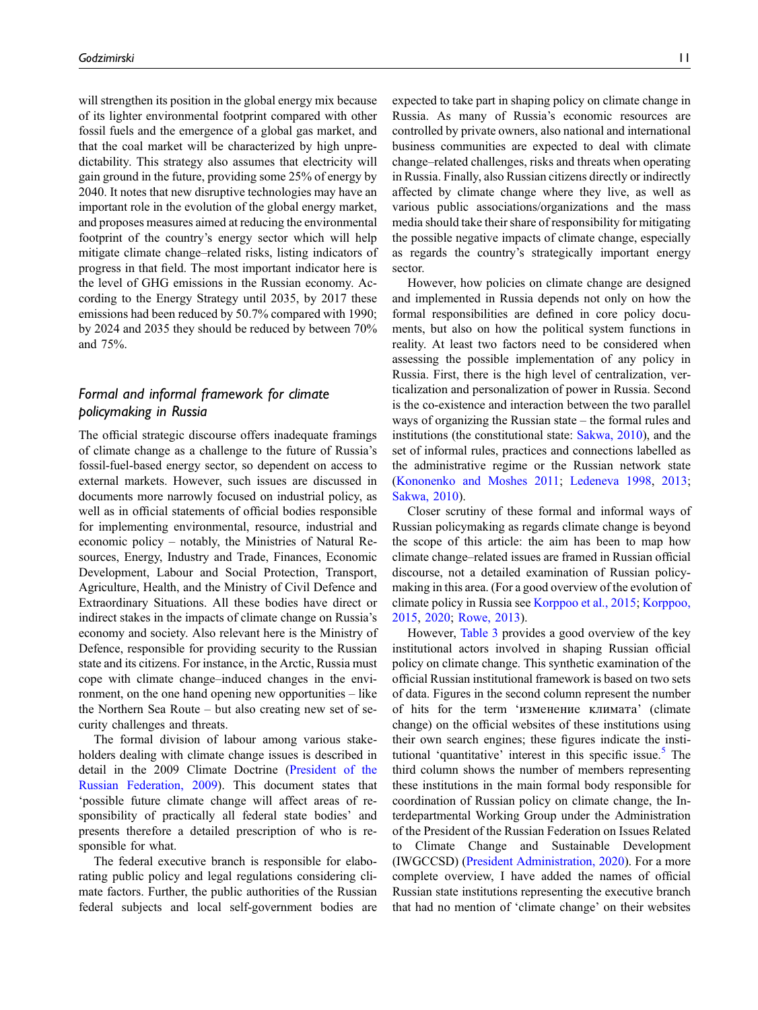will strengthen its position in the global energy mix because of its lighter environmental footprint compared with other fossil fuels and the emergence of a global gas market, and that the coal market will be characterized by high unpredictability. This strategy also assumes that electricity will gain ground in the future, providing some 25% of energy by 2040. It notes that new disruptive technologies may have an important role in the evolution of the global energy market, and proposes measures aimed at reducing the environmental footprint of the country's energy sector which will help mitigate climate change–related risks, listing indicators of progress in that field. The most important indicator here is the level of GHG emissions in the Russian economy. According to the Energy Strategy until 2035, by 2017 these emissions had been reduced by 50.7% compared with 1990; by 2024 and 2035 they should be reduced by between 70% and 75%.

# Formal and informal framework for climate policymaking in Russia

The official strategic discourse offers inadequate framings of climate change as a challenge to the future of Russia's fossil-fuel-based energy sector, so dependent on access to external markets. However, such issues are discussed in documents more narrowly focused on industrial policy, as well as in official statements of official bodies responsible for implementing environmental, resource, industrial and economic policy – notably, the Ministries of Natural Resources, Energy, Industry and Trade, Finances, Economic Development, Labour and Social Protection, Transport, Agriculture, Health, and the Ministry of Civil Defence and Extraordinary Situations. All these bodies have direct or indirect stakes in the impacts of climate change on Russia's economy and society. Also relevant here is the Ministry of Defence, responsible for providing security to the Russian state and its citizens. For instance, in the Arctic, Russia must cope with climate change–induced changes in the environment, on the one hand opening new opportunities – like the Northern Sea Route – but also creating new set of security challenges and threats.

The formal division of labour among various stakeholders dealing with climate change issues is described in detail in the 2009 Climate Doctrine ([President of the](#page-15-5) [Russian Federation, 2009](#page-15-5)). This document states that 'possible future climate change will affect areas of responsibility of practically all federal state bodies' and presents therefore a detailed prescription of who is responsible for what.

The federal executive branch is responsible for elaborating public policy and legal regulations considering climate factors. Further, the public authorities of the Russian federal subjects and local self-government bodies are expected to take part in shaping policy on climate change in Russia. As many of Russia's economic resources are controlled by private owners, also national and international business communities are expected to deal with climate change–related challenges, risks and threats when operating in Russia. Finally, also Russian citizens directly or indirectly affected by climate change where they live, as well as various public associations/organizations and the mass media should take their share of responsibility for mitigating the possible negative impacts of climate change, especially as regards the country's strategically important energy sector.

However, how policies on climate change are designed and implemented in Russia depends not only on how the formal responsibilities are defined in core policy documents, but also on how the political system functions in reality. At least two factors need to be considered when assessing the possible implementation of any policy in Russia. First, there is the high level of centralization, verticalization and personalization of power in Russia. Second is the co-existence and interaction between the two parallel ways of organizing the Russian state – the formal rules and institutions (the constitutional state: [Sakwa, 2010](#page-15-12)), and the set of informal rules, practices and connections labelled as the administrative regime or the Russian network state ([Kononenko and Moshes 2011;](#page-14-22) [Ledeneva 1998](#page-14-23), [2013](#page-14-24); [Sakwa, 2010\)](#page-15-12).

Closer scrutiny of these formal and informal ways of Russian policymaking as regards climate change is beyond the scope of this article: the aim has been to map how climate change–related issues are framed in Russian official discourse, not a detailed examination of Russian policymaking in this area. (For a good overview of the evolution of climate policy in Russia see [Korppoo et al., 2015](#page-14-13); [Korppoo,](#page-14-14) [2015](#page-14-14), [2020](#page-14-25); [Rowe, 2013](#page-15-13)).

However, [Table 3](#page-11-0) provides a good overview of the key institutional actors involved in shaping Russian official policy on climate change. This synthetic examination of the official Russian institutional framework is based on two sets of data. Figures in the second column represent the number of hits for the term 'изменение климата' (climate change) on the official websites of these institutions using their own search engines; these figures indicate the insti-tutional 'quantitative' interest in this specific issue.<sup>[5](#page-13-24)</sup> The third column shows the number of members representing these institutions in the main formal body responsible for coordination of Russian policy on climate change, the Interdepartmental Working Group under the Administration of the President of the Russian Federation on Issues Related to Climate Change and Sustainable Development (IWGCCSD) [\(President Administration, 2020\)](#page-14-21). For a more complete overview, I have added the names of official Russian state institutions representing the executive branch that had no mention of 'climate change' on their websites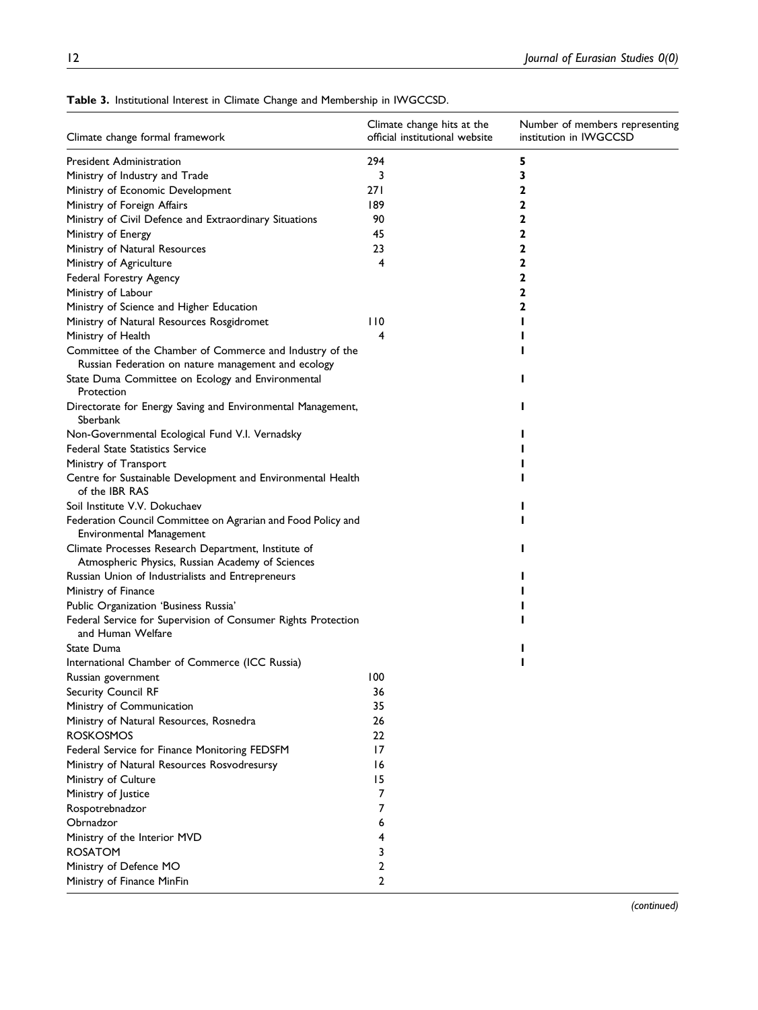| Climate change formal framework                                                                         | Climate change hits at the<br>official institutional website | Number of members representing<br>institution in IWGCCSD |
|---------------------------------------------------------------------------------------------------------|--------------------------------------------------------------|----------------------------------------------------------|
| President Administration                                                                                | 294                                                          | 5                                                        |
| Ministry of Industry and Trade                                                                          | 3                                                            | 3                                                        |
| Ministry of Economic Development                                                                        | 271                                                          | 2                                                        |
| Ministry of Foreign Affairs                                                                             | 189                                                          | 2                                                        |
| Ministry of Civil Defence and Extraordinary Situations                                                  | 90                                                           | 2                                                        |
| Ministry of Energy                                                                                      | 45                                                           | 2                                                        |
| Ministry of Natural Resources                                                                           | 23                                                           | 2                                                        |
| Ministry of Agriculture                                                                                 | 4                                                            | 2                                                        |
| Federal Forestry Agency                                                                                 |                                                              | 2                                                        |
| Ministry of Labour                                                                                      |                                                              | 2                                                        |
| Ministry of Science and Higher Education                                                                |                                                              | 2                                                        |
| Ministry of Natural Resources Rosgidromet                                                               | 110                                                          |                                                          |
| Ministry of Health                                                                                      | 4                                                            |                                                          |
| Committee of the Chamber of Commerce and Industry of the                                                |                                                              |                                                          |
| Russian Federation on nature management and ecology                                                     |                                                              |                                                          |
| State Duma Committee on Ecology and Environmental<br>Protection                                         |                                                              |                                                          |
| Directorate for Energy Saving and Environmental Management,<br>Sberbank                                 |                                                              |                                                          |
| Non-Governmental Ecological Fund V.I. Vernadsky                                                         |                                                              |                                                          |
| Federal State Statistics Service                                                                        |                                                              |                                                          |
| Ministry of Transport                                                                                   |                                                              |                                                          |
| Centre for Sustainable Development and Environmental Health<br>of the IBR RAS                           |                                                              |                                                          |
| Soil Institute V.V. Dokuchaev                                                                           |                                                              |                                                          |
| Federation Council Committee on Agrarian and Food Policy and<br><b>Environmental Management</b>         |                                                              |                                                          |
| Climate Processes Research Department, Institute of<br>Atmospheric Physics, Russian Academy of Sciences |                                                              |                                                          |
| Russian Union of Industrialists and Entrepreneurs                                                       |                                                              |                                                          |
| Ministry of Finance                                                                                     |                                                              |                                                          |
| Public Organization 'Business Russia'                                                                   |                                                              |                                                          |
| Federal Service for Supervision of Consumer Rights Protection<br>and Human Welfare                      |                                                              |                                                          |
| State Duma                                                                                              |                                                              |                                                          |
| International Chamber of Commerce (ICC Russia)                                                          |                                                              |                                                          |
| Russian government                                                                                      | 100                                                          |                                                          |
| Security Council RF                                                                                     | 36                                                           |                                                          |
| Ministry of Communication                                                                               | 35                                                           |                                                          |
| Ministry of Natural Resources, Rosnedra                                                                 | 26                                                           |                                                          |
| <b>ROSKOSMOS</b>                                                                                        | 22                                                           |                                                          |
| Federal Service for Finance Monitoring FEDSFM                                                           | 17                                                           |                                                          |
| Ministry of Natural Resources Rosvodresursy                                                             | 16                                                           |                                                          |
| Ministry of Culture                                                                                     | 15                                                           |                                                          |
| Ministry of Justice                                                                                     | 7                                                            |                                                          |
| Rospotrebnadzor                                                                                         | 7                                                            |                                                          |
| Obrnadzor                                                                                               | 6                                                            |                                                          |
| Ministry of the Interior MVD                                                                            | 4                                                            |                                                          |
| <b>ROSATOM</b>                                                                                          | 3                                                            |                                                          |
| Ministry of Defence MO                                                                                  | 2                                                            |                                                          |
| Ministry of Finance MinFin                                                                              | 2                                                            |                                                          |

<span id="page-11-0"></span>Table 3. Institutional Interest in Climate Change and Membership in IWGCCSD.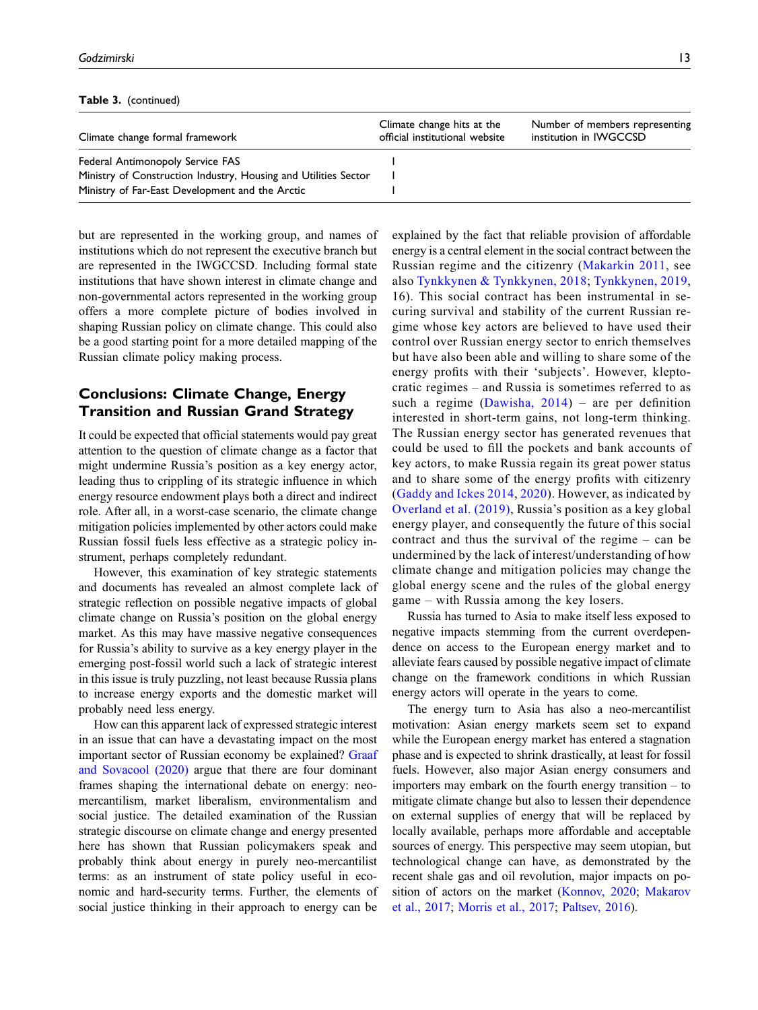Table 3. (continued)

| Climate change formal framework                                 | Climate change hits at the<br>official institutional website | Number of members representing<br>institution in IWGCCSD |
|-----------------------------------------------------------------|--------------------------------------------------------------|----------------------------------------------------------|
| Federal Antimonopoly Service FAS                                |                                                              |                                                          |
| Ministry of Construction Industry, Housing and Utilities Sector |                                                              |                                                          |
| Ministry of Far-East Development and the Arctic                 |                                                              |                                                          |

but are represented in the working group, and names of institutions which do not represent the executive branch but are represented in the IWGCCSD. Including formal state institutions that have shown interest in climate change and non-governmental actors represented in the working group offers a more complete picture of bodies involved in shaping Russian policy on climate change. This could also be a good starting point for a more detailed mapping of the Russian climate policy making process.

# Conclusions: Climate Change, Energy Transition and Russian Grand Strategy

It could be expected that official statements would pay great attention to the question of climate change as a factor that might undermine Russia's position as a key energy actor, leading thus to crippling of its strategic influence in which energy resource endowment plays both a direct and indirect role. After all, in a worst-case scenario, the climate change mitigation policies implemented by other actors could make Russian fossil fuels less effective as a strategic policy instrument, perhaps completely redundant.

However, this examination of key strategic statements and documents has revealed an almost complete lack of strategic reflection on possible negative impacts of global climate change on Russia's position on the global energy market. As this may have massive negative consequences for Russia's ability to survive as a key energy player in the emerging post-fossil world such a lack of strategic interest in this issue is truly puzzling, not least because Russia plans to increase energy exports and the domestic market will probably need less energy.

How can this apparent lack of expressed strategic interest in an issue that can have a devastating impact on the most important sector of Russian economy be explained? [Graaf](#page-13-25) [and Sovacool \(2020\)](#page-13-25) argue that there are four dominant frames shaping the international debate on energy: neomercantilism, market liberalism, environmentalism and social justice. The detailed examination of the Russian strategic discourse on climate change and energy presented here has shown that Russian policymakers speak and probably think about energy in purely neo-mercantilist terms: as an instrument of state policy useful in economic and hard-security terms. Further, the elements of social justice thinking in their approach to energy can be explained by the fact that reliable provision of affordable energy is a central element in the social contract between the Russian regime and the citizenry ([Makarkin 2011](#page-14-26), see also [Tynkkynen & Tynkkynen, 2018](#page-15-14); [Tynkkynen, 2019](#page-15-15), 16). This social contract has been instrumental in securing survival and stability of the current Russian regime whose key actors are believed to have used their control over Russian energy sector to enrich themselves but have also been able and willing to share some of the energy profits with their 'subjects'. However, kleptocratic regimes – and Russia is sometimes referred to as such a regime (Dawisha,  $2014$ ) – are per definition interested in short-term gains, not long-term thinking. The Russian energy sector has generated revenues that could be used to fill the pockets and bank accounts of key actors, to make Russia regain its great power status and to share some of the energy profits with citizenry ([Gaddy and Ickes 2014](#page-13-9), [2020](#page-13-2)). However, as indicated by [Overland et al. \(2019\)](#page-14-27), Russia's position as a key global energy player, and consequently the future of this social contract and thus the survival of the regime – can be undermined by the lack of interest/understanding of how climate change and mitigation policies may change the global energy scene and the rules of the global energy game – with Russia among the key losers.

Russia has turned to Asia to make itself less exposed to negative impacts stemming from the current overdependence on access to the European energy market and to alleviate fears caused by possible negative impact of climate change on the framework conditions in which Russian energy actors will operate in the years to come.

The energy turn to Asia has also a neo-mercantilist motivation: Asian energy markets seem set to expand while the European energy market has entered a stagnation phase and is expected to shrink drastically, at least for fossil fuels. However, also major Asian energy consumers and importers may embark on the fourth energy transition – to mitigate climate change but also to lessen their dependence on external supplies of energy that will be replaced by locally available, perhaps more affordable and acceptable sources of energy. This perspective may seem utopian, but technological change can have, as demonstrated by the recent shale gas and oil revolution, major impacts on position of actors on the market ([Konnov, 2020;](#page-14-28) [Makarov](#page-14-16) [et al., 2017](#page-14-16); [Morris et al., 2017;](#page-14-29) [Paltsev, 2016\)](#page-14-30).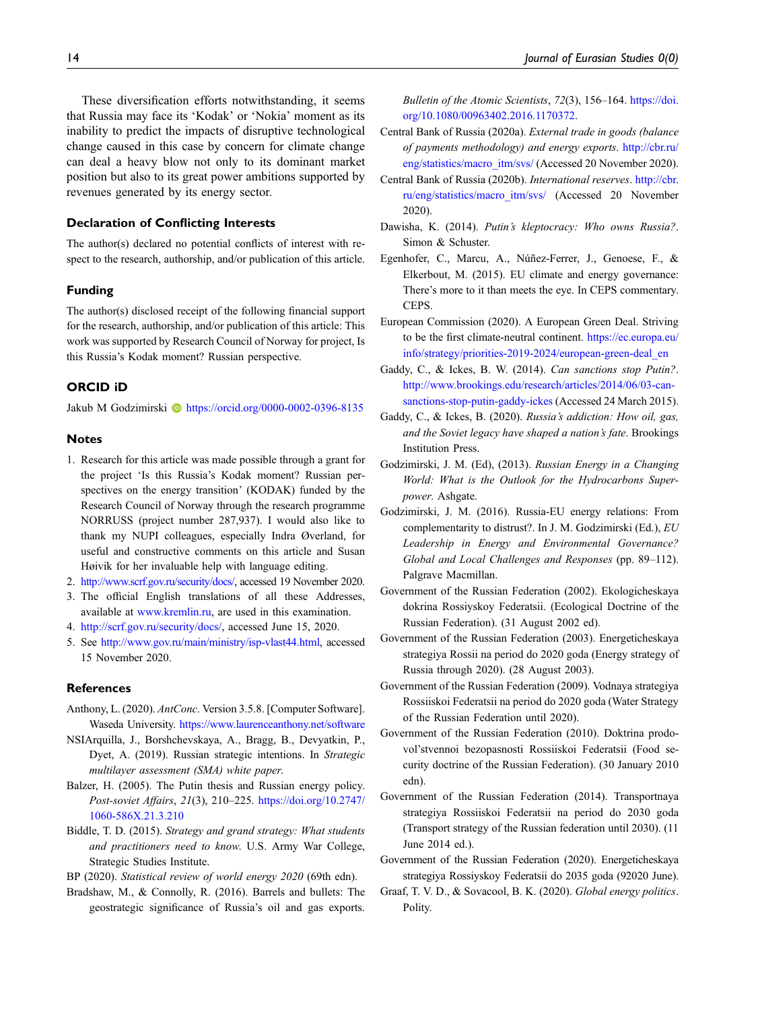These diversification efforts notwithstanding, it seems that Russia may face its 'Kodak' or 'Nokia' moment as its inability to predict the impacts of disruptive technological change caused in this case by concern for climate change can deal a heavy blow not only to its dominant market position but also to its great power ambitions supported by revenues generated by its energy sector.

#### Declaration of Conflicting Interests

The author(s) declared no potential conflicts of interest with respect to the research, authorship, and/or publication of this article.

#### Funding

The author(s) disclosed receipt of the following financial support for the research, authorship, and/or publication of this article: This work was supported by Research Council of Norway for project, Is this Russia's Kodak moment? Russian perspective.

#### ORCID iD

Jakub M Godzimirski **Interpretate Human** <https://orcid.org/0000-0002-0396-8135>

#### <span id="page-13-0"></span>Notes

- 1. Research for this article was made possible through a grant for the project 'Is this Russia's Kodak moment? Russian perspectives on the energy transition' (KODAK) funded by the Research Council of Norway through the research programme NORRUSS (project number 287,937). I would also like to thank my NUPI colleagues, especially Indra Øverland, for useful and constructive comments on this article and Susan Høivik for her invaluable help with language editing.
- <span id="page-13-12"></span><span id="page-13-11"></span>2. <http://www.scrf.gov.ru/security/docs/>, accessed 19 November 2020.
- 3. The official English translations of all these Addresses, available at [www.kremlin.ru](http://www.kremlin.ru/), are used in this examination.
- <span id="page-13-24"></span><span id="page-13-19"></span>4. <http://scrf.gov.ru/security/docs/>, accessed June 15, 2020.
- 5. See <http://www.gov.ru/main/ministry/isp-vlast44.html>, accessed 15 November 2020.

#### <span id="page-13-13"></span>References

- Anthony, L. (2020). AntConc. Version 3.5.8. [Computer Software]. Waseda University. <https://www.laurenceanthony.net/software>
- <span id="page-13-4"></span>NSIArquilla, J., Borshchevskaya, A., Bragg, B., Devyatkin, P., Dyet, A. (2019). Russian strategic intentions. In Strategic multilayer assessment (SMA) white paper.
- <span id="page-13-3"></span>Balzer, H. (2005). The Putin thesis and Russian energy policy. Post-soviet Affairs, 21(3), 210–225. [https://doi.org/10.2747/](https://doi.org/10.2747/1060-586X.21.3.210) [1060-586X.21.3.210](https://doi.org/10.2747/1060-586X.21.3.210)
- <span id="page-13-5"></span>Biddle, T. D. (2015). Strategy and grand strategy: What students and practitioners need to know. U.S. Army War College, Strategic Studies Institute.
- <span id="page-13-14"></span><span id="page-13-6"></span>BP (2020). Statistical review of world energy 2020 (69th edn).
- Bradshaw, M., & Connolly, R. (2016). Barrels and bullets: The geostrategic significance of Russia's oil and gas exports.

Bulletin of the Atomic Scientists, 72(3), 156–164. [https://doi.](https://doi.org/10.1080/00963402.2016.1170372) [org/10.1080/00963402.2016.1170372.](https://doi.org/10.1080/00963402.2016.1170372)

- <span id="page-13-7"></span>Central Bank of Russia (2020a). External trade in goods (balance of payments methodology) and energy exports. [http://cbr.ru/](http://cbr.ru/eng/statistics/macro_itm/svs/) [eng/statistics/macro\\_itm/svs/](http://cbr.ru/eng/statistics/macro_itm/svs/) (Accessed 20 November 2020).
- <span id="page-13-8"></span>Central Bank of Russia (2020b). International reserves. [http://cbr.](http://cbr.ru/eng/statistics/macro_itm/svs/) [ru/eng/statistics/macro\\_itm/svs/](http://cbr.ru/eng/statistics/macro_itm/svs/) (Accessed 20 November 2020).
- <span id="page-13-26"></span>Dawisha, K. (2014). Putin's kleptocracy: Who owns Russia?. Simon & Schuster.
- <span id="page-13-16"></span>Egenhofer, C., Marcu, A., Núñez-Ferrer, J., Genoese, F., & Elkerbout, M. (2015). EU climate and energy governance: There's more to it than meets the eye. In CEPS commentary. CEPS.
- <span id="page-13-17"></span>European Commission (2020). A European Green Deal. Striving to be the first climate-neutral continent. [https://ec.europa.eu/](https://ec.europa.eu/info/strategy/priorities-2019-2024/european-green-deal_en) [info/strategy/priorities-2019-2024/european-green-deal\\_en](https://ec.europa.eu/info/strategy/priorities-2019-2024/european-green-deal_en)
- <span id="page-13-9"></span>Gaddy, C., & Ickes, B. W. (2014). Can sanctions stop Putin?. [http://www.brookings.edu/research/articles/2014/06/03-can](http://www.brookings.edu/research/articles/2014/06/03-can-sanctions-stop-putin-gaddy-ickes)[sanctions-stop-putin-gaddy-ickes](http://www.brookings.edu/research/articles/2014/06/03-can-sanctions-stop-putin-gaddy-ickes) (Accessed 24 March 2015).
- <span id="page-13-2"></span>Gaddy, C., & Ickes, B. (2020). Russia's addiction: How oil, gas, and the Soviet legacy have shaped a nation's fate. Brookings Institution Press.
- <span id="page-13-15"></span><span id="page-13-1"></span>Godzimirski, J. M. (Ed), (2013). Russian Energy in a Changing World: What is the Outlook for the Hydrocarbons Superpower. Ashgate.
- Godzimirski, J. M. (2016). Russia-EU energy relations: From complementarity to distrust?. In J. M. Godzimirski (Ed.), EU Leadership in Energy and Environmental Governance? Global and Local Challenges and Responses (pp. 89–112). Palgrave Macmillan.
- <span id="page-13-20"></span><span id="page-13-10"></span>Government of the Russian Federation (2002). Ekologicheskaya dokrina Rossiyskoy Federatsii. (Ecological Doctrine of the Russian Federation). (31 August 2002 ed).
- <span id="page-13-21"></span>Government of the Russian Federation (2003). Energeticheskaya strategiya Rossii na period do 2020 goda (Energy strategy of Russia through 2020). (28 August 2003).
- <span id="page-13-22"></span>Government of the Russian Federation (2009). Vodnaya strategiya Rossiiskoi Federatsii na period do 2020 goda (Water Strategy of the Russian Federation until 2020).
- <span id="page-13-23"></span>Government of the Russian Federation (2010). Doktrina prodovol'stvennoi bezopasnosti Rossiiskoi Federatsii (Food security doctrine of the Russian Federation). (30 January 2010 edn).
- <span id="page-13-18"></span>Government of the Russian Federation (2014). Transportnaya strategiya Rossiiskoi Federatsii na period do 2030 goda (Transport strategy of the Russian federation until 2030). (11 June 2014 ed.).
- <span id="page-13-25"></span>Government of the Russian Federation (2020). Energeticheskaya strategiya Rossiyskoy Federatsii do 2035 goda (92020 June).
- Graaf, T. V. D., & Sovacool, B. K. (2020). Global energy politics. Polity.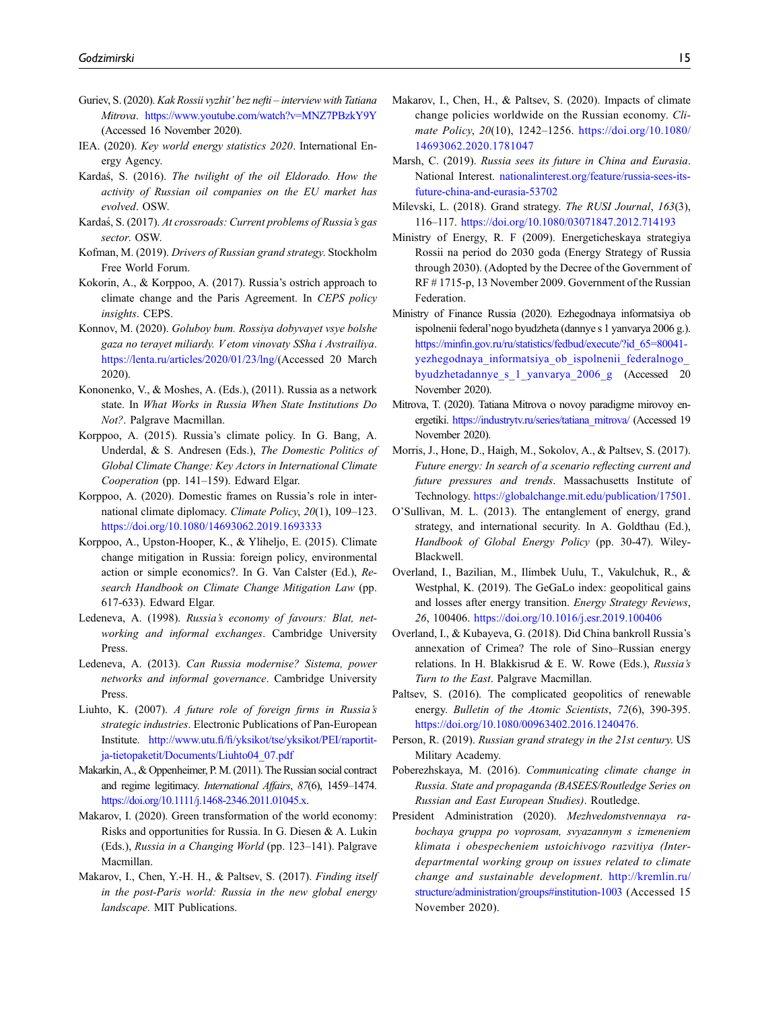- <span id="page-14-11"></span>Guriev, S. (2020). Kak Rossii vyzhit' bez nefti – interview with Tatiana Mitrova. <https://www.youtube.com/watch?v=MNZ7PBzkY9Y> (Accessed 16 November 2020).
- <span id="page-14-6"></span>IEA. (2020). Key world energy statistics 2020. International Energy Agency.
- <span id="page-14-8"></span>Kardas, S. (2016). The twilight of the oil Eldorado. How the activity of Russian oil companies on the EU market has evolved. OSW.
- <span id="page-14-9"></span>Kardaś, S. (2017). At crossroads: Current problems of Russia's gas sector. OSW.
- <span id="page-14-1"></span>Kofman, M. (2019). Drivers of Russian grand strategy. Stockholm Free World Forum.
- <span id="page-14-15"></span>Kokorin, A., & Korppoo, A. (2017). Russia's ostrich approach to climate change and the Paris Agreement. In CEPS policy insights. CEPS.
- <span id="page-14-28"></span>Konnov, M. (2020). Goluboy bum. Rossiya dobyvayet vsye bolshe gaza no terayet miliardy. V etom vinovaty SSha i Avstrailiya. <https://lenta.ru/articles/2020/01/23/lng/>(Accessed 20 March 2020).
- <span id="page-14-22"></span>Kononenko, V., & Moshes, A. (Eds.), (2011). Russia as a network state. In What Works in Russia When State Institutions Do Not?. Palgrave Macmillan.
- <span id="page-14-14"></span>Korppoo, A. (2015). Russia's climate policy. In G. Bang, A. Underdal, & S. Andresen (Eds.), The Domestic Politics of Global Climate Change: Key Actors in International Climate Cooperation (pp. 141–159). Edward Elgar.
- <span id="page-14-25"></span>Korppoo, A. (2020). Domestic frames on Russia's role in international climate diplomacy. Climate Policy, 20(1), 109–123. <https://doi.org/10.1080/14693062.2019.1693333>
- <span id="page-14-13"></span>Korppoo, A., Upston-Hooper, K., & Yliheljo, E. (2015). Climate change mitigation in Russia: foreign policy, environmental action or simple economics?. In G. Van Calster (Ed.), Research Handbook on Climate Change Mitigation Law (pp. 617-633). Edward Elgar.
- <span id="page-14-23"></span>Ledeneva, A. (1998). Russia's economy of favours: Blat, networking and informal exchanges. Cambridge University Press.
- <span id="page-14-24"></span>Ledeneva, A. (2013). Can Russia modernise? Sistema, power networks and informal governance. Cambridge University Press.
- <span id="page-14-2"></span>Liuhto, K. (2007). A future role of foreign firms in Russia's strategic industries. Electronic Publications of Pan-European Institute. http://www.utu.fi/fi[/yksikot/tse/yksikot/PEI/raportit](http://www.utu.fi/fi/yksikot/tse/yksikot/PEI/raportit-ja-tietopaketit/Documents/Liuhto04_07.pdf)[ja-tietopaketit/Documents/Liuhto04\\_07.pdf](http://www.utu.fi/fi/yksikot/tse/yksikot/PEI/raportit-ja-tietopaketit/Documents/Liuhto04_07.pdf)
- <span id="page-14-26"></span>Makarkin, A., & Oppenheimer, P. M. (2011). The Russian social contract and regime legitimacy. International Affairs, 87(6), 1459–1474. [https://doi.org/10.1111/j.1468-2346.2011.01045.x.](https://doi.org/10.1111/j.1468-2346.2011.01045.x)
- <span id="page-14-18"></span>Makarov, I. (2020). Green transformation of the world economy: Risks and opportunities for Russia. In G. Diesen & A. Lukin (Eds.), Russia in a Changing World (pp. 123–141). Palgrave Macmillan.
- <span id="page-14-16"></span>Makarov, I., Chen, Y.-H. H., & Paltsev, S. (2017). Finding itself in the post-Paris world: Russia in the new global energy landscape. MIT Publications.
- <span id="page-14-17"></span>Makarov, I., Chen, H., & Paltsev, S. (2020). Impacts of climate change policies worldwide on the Russian economy. Climate Policy, 20(10), 1242–1256. [https://doi.org/10.1080/](https://doi.org/10.1080/14693062.2020.1781047) [14693062.2020.1781047](https://doi.org/10.1080/14693062.2020.1781047)
- <span id="page-14-3"></span>Marsh, C. (2019). Russia sees its future in China and Eurasia. National Interest. [nationalinterest.org/feature/russia-sees-its](http://nationalinterest.org/feature/russia-sees-its-future-china-and-eurasia-53702)[future-china-and-eurasia-53702](http://nationalinterest.org/feature/russia-sees-its-future-china-and-eurasia-53702)
- <span id="page-14-5"></span>Milevski, L. (2018). Grand strategy. The RUSI Journal, 163(3), 116–117. <https://doi.org/10.1080/03071847.2012.714193>
- <span id="page-14-20"></span>Ministry of Energy, R. F (2009). Energeticheskaya strategiya Rossii na period do 2030 goda (Energy Strategy of Russia through 2030). (Adopted by the Decree of the Government of RF # 1715-p, 13 November 2009. Government of the Russian Federation.
- <span id="page-14-7"></span>Ministry of Finance Russia (2020). Ezhegodnaya informatsiya ob ispolnenii federal'nogo byudzheta (dannye s 1 yanvarya 2006 g.). https://minfi[n.gov.ru/ru/statistics/fedbud/execute/?id\\_65=80041](https://minfin.gov.ru/ru/statistics/fedbud/execute/?id_65=80041-yezhegodnaya_informatsiya_ob_ispolnenii_federalnogo_byudzhetadannye_s_1_yanvarya_2006_g) [yezhegodnaya\\_informatsiya\\_ob\\_ispolnenii\\_federalnogo\\_](https://minfin.gov.ru/ru/statistics/fedbud/execute/?id_65=80041-yezhegodnaya_informatsiya_ob_ispolnenii_federalnogo_byudzhetadannye_s_1_yanvarya_2006_g) [byudzhetadannye\\_s\\_1\\_yanvarya\\_2006\\_g](https://minfin.gov.ru/ru/statistics/fedbud/execute/?id_65=80041-yezhegodnaya_informatsiya_ob_ispolnenii_federalnogo_byudzhetadannye_s_1_yanvarya_2006_g) (Accessed 20 November 2020).
- <span id="page-14-12"></span>Mitrova, T. (2020). Tatiana Mitrova o novoy paradigme mirovoy energetiki. [https://industrytv.ru/series/tatiana\\_mitrova/](https://industrytv.ru/series/tatiana_mitrova/) (Accessed 19 November 2020).
- <span id="page-14-29"></span>Morris, J., Hone, D., Haigh, M., Sokolov, A., & Paltsev, S. (2017). Future energy: In search of a scenario reflecting current and future pressures and trends. Massachusetts Institute of Technology. [https://globalchange.mit.edu/publication/17501.](https://globalchange.mit.edu/publication/17501)
- <span id="page-14-0"></span>O'Sullivan, M. L. (2013). The entanglement of energy, grand strategy, and international security. In A. Goldthau (Ed.), Handbook of Global Energy Policy (pp. 30-47). Wiley-Blackwell.
- <span id="page-14-27"></span>Overland, I., Bazilian, M., Ilimbek Uulu, T., Vakulchuk, R., & Westphal, K. (2019). The GeGaLo index: geopolitical gains and losses after energy transition. Energy Strategy Reviews, 26, 100406. <https://doi.org/10.1016/j.esr.2019.100406>
- <span id="page-14-10"></span>Overland, I., & Kubayeva, G. (2018). Did China bankroll Russia's annexation of Crimea? The role of Sino–Russian energy relations. In H. Blakkisrud & E. W. Rowe (Eds.), Russia's Turn to the East. Palgrave Macmillan.
- <span id="page-14-30"></span>Paltsev, S. (2016). The complicated geopolitics of renewable energy. Bulletin of the Atomic Scientists, 72(6), 390-395. [https://doi.org/10.1080/00963402.2016.1240476.](https://doi.org/10.1080/00963402.2016.1240476)
- <span id="page-14-4"></span>Person, R. (2019). Russian grand strategy in the 21st century. US Military Academy.
- <span id="page-14-19"></span>Poberezhskaya, M. (2016). Communicating climate change in Russia. State and propaganda (BASEES/Routledge Series on Russian and East European Studies). Routledge.
- <span id="page-14-21"></span>President Administration (2020). Mezhvedomstvennaya rabochaya gruppa po voprosam, svyazannym s izmeneniem klimata i obespecheniem ustoichivogo razvitiya (Interdepartmental working group on issues related to climate change and sustainable development. [http://kremlin.ru/](http://kremlin.ru/structure/administration/groups#institution-1003) [structure/administration/groups#institution-1003](http://kremlin.ru/structure/administration/groups#institution-1003) (Accessed 15 November 2020).